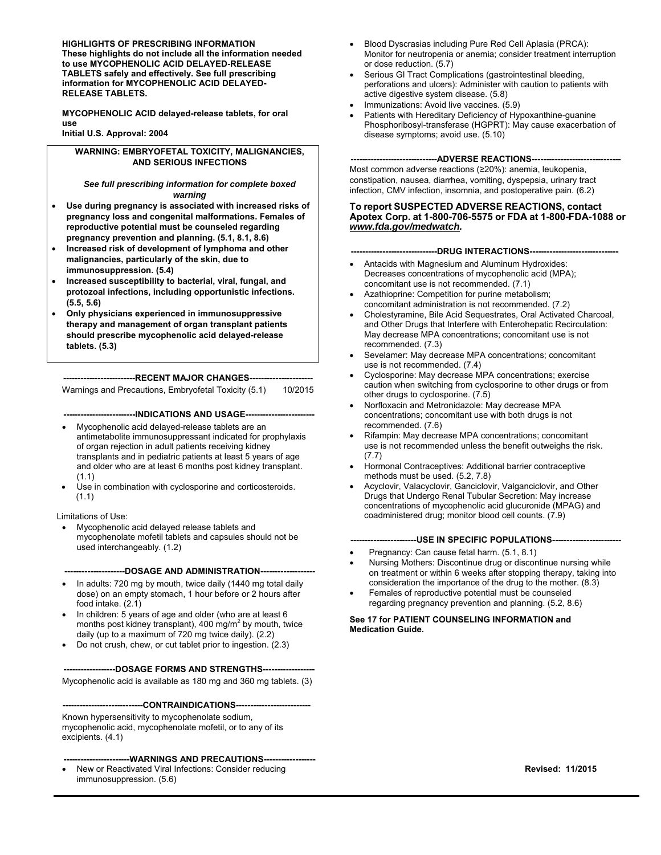**HIGHLIGHTS OF PRESCRIBING INFORMATION These highlights do not include all the information needed to use MYCOPHENOLIC ACID DELAYED-RELEASE TABLETS safely and effectively. See full prescribing information for MYCOPHENOLIC ACID DELAYED-RELEASE TABLETS.**

**MYCOPHENOLIC ACID delayed-release tablets, for oral use Initial U.S. Approval: 2004**

**WARNING: EMBRYOFETAL TOXICITY, MALIGNANCIES, AND SERIOUS INFECTIONS**

*See full prescribing information for complete boxed warning*

- **Use during pregnancy is associated with increased risks of pregnancy loss and congenital malformations. Females of reproductive potential must be counseled regarding pregnancy prevention and planning. (5.1, 8.1, 8.6)**
- **Increased risk of development of lymphoma and other malignancies, particularly of the skin, due to immunosuppression. (5.4)**
- **Increased susceptibility to bacterial, viral, fungal, and protozoal infections, including opportunistic infections. (5.5, 5.6)**
- **Only physicians experienced in immunosuppressive therapy and management of organ transplant patients should prescribe mycophenolic acid delayed-release tablets. (5.3)**

**-------------------------RECENT MAJOR CHANGES----------------------**

Warnings and Precautions, Embryofetal Toxicity (5.1) 10/2015

**-------------------------INDICATIONS AND USAGE------------------------**

- Mycophenolic acid delayed-release tablets are an antimetabolite immunosuppressant indicated for prophylaxis of organ rejection in adult patients receiving kidney transplants and in pediatric patients at least 5 years of age and older who are at least 6 months post kidney transplant. (1.1)
- Use in combination with cyclosporine and corticosteroids. (1.1)

#### Limitations of Use:

• Mycophenolic acid delayed release tablets and mycophenolate mofetil tablets and capsules should not be used interchangeably. (1.2)

#### **---DOSAGE AND ADMINISTRATION---**

- In adults: 720 mg by mouth, twice daily (1440 mg total daily dose) on an empty stomach, 1 hour before or 2 hours after food intake. (2.1)
- In children: 5 years of age and older (who are at least 6 months post kidney transplant), 400 mg/m<sup>2</sup> by mouth, twice daily (up to a maximum of 720 mg twice daily). (2.2)
- Do not crush, chew, or cut tablet prior to ingestion. (2.3)

**------------------DOSAGE FORMS AND STRENGTHS------------------**

Mycophenolic acid is available as 180 mg and 360 mg tablets. (3)

**----------------------------CONTRAINDICATIONS--------------------------**

Known hypersensitivity to mycophenolate sodium, mycophenolic acid, mycophenolate mofetil, or to any of its excipients. (4.1)

#### **-----------------------WARNINGS AND PRECAUTIONS------------------**

• New or Reactivated Viral Infections: Consider reducing immunosuppression. (5.6)

- Blood Dyscrasias including Pure Red Cell Aplasia (PRCA): Monitor for neutropenia or anemia; consider treatment interruption or dose reduction. (5.7)
- Serious GI Tract Complications (gastrointestinal bleeding, perforations and ulcers): Administer with caution to patients with active digestive system disease. (5.8)
- Immunizations: Avoid live vaccines. (5.9)
- Patients with Hereditary Deficiency of Hypoxanthine-guanine Phosphoribosyl-transferase (HGPRT): May cause exacerbation of disease symptoms; avoid use. (5.10)

#### **------------------------------ADVERSE REACTIONS-------------------------------**

Most common adverse reactions (≥20%): anemia, leukopenia, constipation, nausea, diarrhea, vomiting, dyspepsia, urinary tract infection, CMV infection, insomnia, and postoperative pain. (6.2)

#### **To report SUSPECTED ADVERSE REACTIONS, contact Apotex Corp. at 1-800-706-5575 or FDA at 1-800-FDA-1088 or** *www.fda.gov/medwatch.*

#### **----DRUG INTERACTIONS--**

- Antacids with Magnesium and Aluminum Hydroxides: Decreases concentrations of mycophenolic acid (MPA); concomitant use is not recommended. (7.1)
- Azathioprine: Competition for purine metabolism: concomitant administration is not recommended. (7.2)
- Cholestyramine, Bile Acid Sequestrates, Oral Activated Charcoal, and Other Drugs that Interfere with Enterohepatic Recirculation: May decrease MPA concentrations; concomitant use is not recommended. (7.3)
- Sevelamer: May decrease MPA concentrations; concomitant use is not recommended. (7.4)
- Cyclosporine: May decrease MPA concentrations; exercise caution when switching from cyclosporine to other drugs or from other drugs to cyclosporine. (7.5)
- Norfloxacin and Metronidazole: May decrease MPA concentrations; concomitant use with both drugs is not recommended. (7.6)
- Rifampin: May decrease MPA concentrations; concomitant use is not recommended unless the benefit outweighs the risk. (7.7)
- Hormonal Contraceptives: Additional barrier contraceptive methods must be used. (5.2, 7.8)
- Acyclovir, Valacyclovir, Ganciclovir, Valganciclovir, and Other Drugs that Undergo Renal Tubular Secretion: May increase concentrations of mycophenolic acid glucuronide (MPAG) and coadministered drug; monitor blood cell counts. (7.9)

#### ---USE IN SPECIFIC POPULATIONS------

- Pregnancy: Can cause fetal harm. (5.1, 8.1)
- Nursing Mothers: Discontinue drug or discontinue nursing while on treatment or within 6 weeks after stopping therapy, taking into consideration the importance of the drug to the mother. (8.3)
- Females of reproductive potential must be counseled regarding pregnancy prevention and planning. (5.2, 8.6)

**See 17 for PATIENT COUNSELING INFORMATION and Medication Guide.**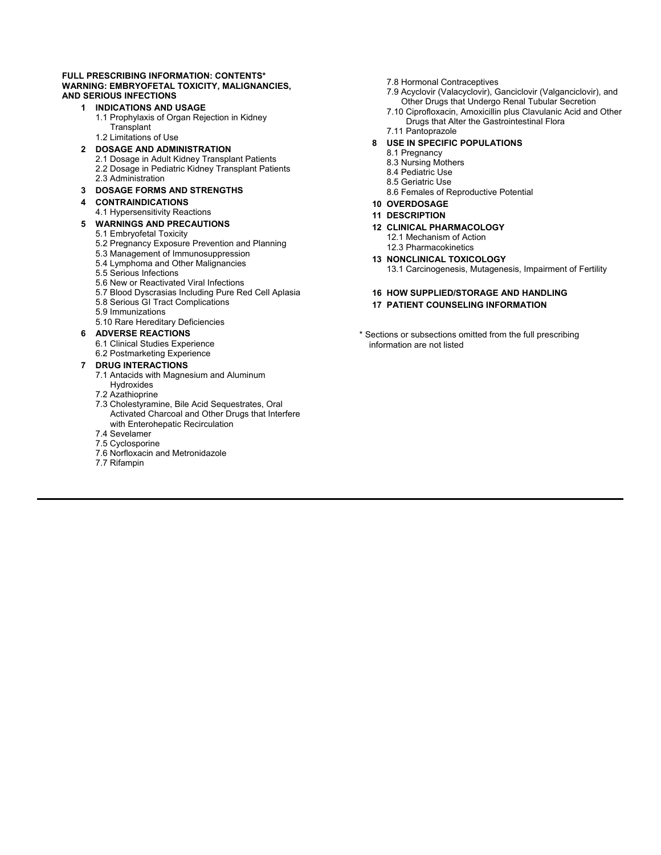#### **FULL PRESCRIBING INFORMATION: CONTENTS\* [WARNING: EMBRYOFETAL TOXICITY, MALIGNANCIES,](#page-2-0)  AND SERIOUS INFECTIONS**

#### **1 [INDICATIONS AND USAGE](#page-2-0)**

- [1.1 Prophylaxis of Organ Rejection in Kidney](#page-2-0) **Transplant**
- [1.2 Limitations of Use](#page-2-0)
- **2 [DOSAGE AND ADMINISTRATION](#page-2-0)**
	- [2.1 Dosage in Adult Kidney Transplant Patients](#page-2-0) [2.2 Dosage in Pediatric Kidney Transplant Patients](#page-2-0) [2.3 Administration](#page-2-0)
- **3 [DOSAGE FORMS AND STRENGTHS](#page-3-0)**

#### **4 [CONTRAINDICATIONS](#page-3-0)**

[4.1 Hypersensitivity Reactions](#page-3-0) 

#### **5 [WARNINGS AND PRECAUTIONS](#page-3-0)**

#### [5.1 Embryofetal Toxicity](#page-3-0)

- [5.2 Pregnancy Exposure Prevention and Planning](#page-3-0)
- [5.3 Management of Immunosuppression](#page-3-0)
- [5.4 Lymphoma and Other Malignancies](#page-3-0)
- [5.5 Serious Infections](#page-4-0)
- [5.6 New or Reactivated Viral Infections](#page-4-0)
- [5.7 Blood Dyscrasias Including Pure Red Cell Aplasia](#page-4-0)
- [5.8 Serious GI Tract Complications](#page-5-0)
- [5.9 Immunizations](#page-5-0)
- [5.10 Rare Hereditary Deficiencies](#page-5-0)

#### **6 [ADVERSE REACTIONS](#page-5-0)**

- [6.1 Clinical Studies Experience](#page-5-0)
- [6.2 Postmarketing Experience](#page-8-0)

#### **7 [DRUG INTERACTIONS](#page-8-0)**

- [7.1 Antacids with Magnesium and Aluminum](#page-8-0)  Hydroxides
- [7.2 Azathioprine](#page-9-0)
- 7.3 Cholestyramine, Bile Acid Sequestrates, Oral [Activated Charcoal and Other Drugs that Interfere](#page-9-0) with Enterohepatic Recirculation
- [7.4 Sevelamer](#page-9-0)
- [7.5 Cyclosporine](#page-9-0)
- [7.6 Norfloxacin and Metronidazole](#page-9-0)
- [7.7 Rifampin](#page-9-0)
- [7.8 Hormonal Contraceptives](#page-9-0)
- [7.9 Acyclovir \(Valacyclovir\), Ganciclovir \(Valganciclovir\), and](#page-9-0) Other Drugs that Undergo Renal Tubular Secretion
- [7.10 Ciprofloxacin, Amoxicillin plus Clavulanic Acid and Other](#page-10-0) Drugs that Alter the Gastrointestinal Flora
- [7.11 Pantoprazole](#page-10-0)

#### **8 [USE IN SPECIFIC POPULATIONS](#page-10-0)**

- [8.1 Pregnancy](#page-10-0)
- [8.3 Nursing Mothers](#page-11-0)
- [8.4 Pediatric Use](#page-11-0)
- [8.5 Geriatric Use](#page-11-0)
- [8.6 Females of Reproductive Potential](#page-11-0)

#### **10 [OVERDOSAGE](#page-13-0)**

- **11 [DESCRIPTION](#page-13-0)**
- **12 [CLINICAL PHARMACOLOGY](#page-13-0)** [12.1 Mechanism of Action](#page-14-0)
- [12.3 Pharmacokinetics](#page-14-0)
- **13 [NONCLINICAL TOXICOLOGY](#page-18-0)** [13.1 Carcinogenesis, Mutagenesis, Impairment of Fertility](#page-18-0)
- **16 [HOW SUPPLIED/STORAGE AND HANDLING](#page-20-0) 17 [PATIENT COUNSELING INFORMATION](#page-20-0)**
- \* Sections or subsections omitted from the full prescribing information are not listed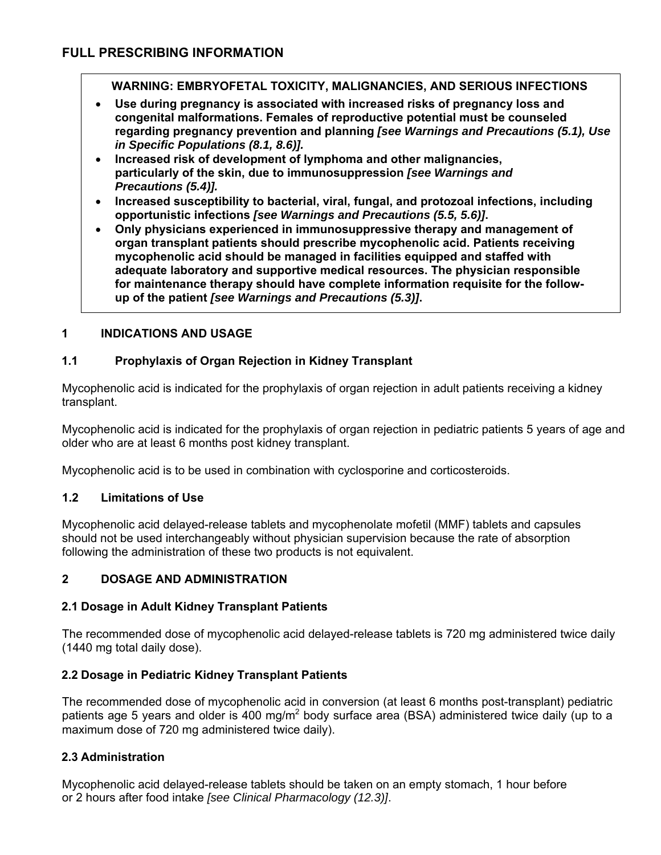<span id="page-2-0"></span>**WARNING: EMBRYOFETAL TOXICITY, MALIGNANCIES, AND SERIOUS INFECTIONS**

- **Use during pregnancy is associated with increased risks of pregnancy loss and congenital malformations. Females of reproductive potential must be counseled regarding pregnancy prevention and planning** *[see Warnings and Precautions (5.1), Use in Specific Populations (8.1, 8.6)].*
- **Increased risk of development of lymphoma and other malignancies, particularly of the skin, due to immunosuppression** *[see Warnings and Precautions (5.4)].*
- **Increased susceptibility to bacterial, viral, fungal, and protozoal infections, including opportunistic infections** *[see Warnings and Precautions (5.5, 5.6)]***.**
- **Only physicians experienced in immunosuppressive therapy and management of organ transplant patients should prescribe mycophenolic acid. Patients receiving mycophenolic acid should be managed in facilities equipped and staffed with adequate laboratory and supportive medical resources. The physician responsible for maintenance therapy should have complete information requisite for the followup of the patient** *[see Warnings and Precautions (5.3)]***.**

# **1 INDICATIONS AND USAGE**

# **1.1 Prophylaxis of Organ Rejection in Kidney Transplant**

Mycophenolic acid is indicated for the prophylaxis of organ rejection in adult patients receiving a kidney transplant.

Mycophenolic acid is indicated for the prophylaxis of organ rejection in pediatric patients 5 years of age and older who are at least 6 months post kidney transplant.

Mycophenolic acid is to be used in combination with cyclosporine and corticosteroids.

# **1.2 Limitations of Use**

Mycophenolic acid delayed-release tablets and mycophenolate mofetil (MMF) tablets and capsules should not be used interchangeably without physician supervision because the rate of absorption following the administration of these two products is not equivalent.

# **2 DOSAGE AND ADMINISTRATION**

# **2.1 Dosage in Adult Kidney Transplant Patients**

The recommended dose of mycophenolic acid delayed-release tablets is 720 mg administered twice daily (1440 mg total daily dose).

# **2.2 Dosage in Pediatric Kidney Transplant Patients**

The recommended dose of mycophenolic acid in conversion (at least 6 months post-transplant) pediatric patients age 5 years and older is 400 mg/m<sup>2</sup> body surface area (BSA) administered twice daily (up to a maximum dose of 720 mg administered twice daily).

# **2.3 Administration**

Mycophenolic acid delayed-release tablets should be taken on an empty stomach, 1 hour before or 2 hours after food intake *[see Clinical Pharmacology (12.3)]*.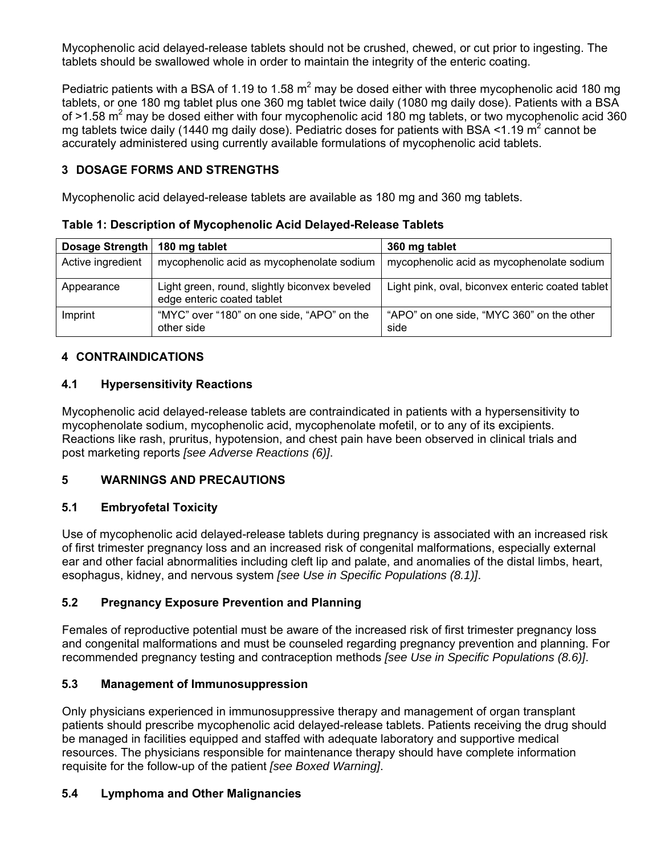<span id="page-3-0"></span>Mycophenolic acid delayed-release tablets should not be crushed, chewed, or cut prior to ingesting. The tablets should be swallowed whole in order to maintain the integrity of the enteric coating.

Pediatric patients with a BSA of 1.19 to 1.58  $m^2$  may be dosed either with three mycophenolic acid 180 mg tablets, or one 180 mg tablet plus one 360 mg tablet twice daily (1080 mg daily dose). Patients with a BSA of  $>1.58$  m<sup>2</sup> may be dosed either with four mycophenolic acid 180 mg tablets, or two mycophenolic acid 360 mg tablets twice daily (1440 mg daily dose). Pediatric doses for patients with BSA <1.19  $m^2$  cannot be accurately administered using currently available formulations of mycophenolic acid tablets.

# **3 DOSAGE FORMS AND STRENGTHS**

Mycophenolic acid delayed-release tablets are available as 180 mg and 360 mg tablets.

**Table 1: Description of Mycophenolic Acid Delayed-Release Tablets**

| Dosage Strength   | 180 mg tablet                                                               | 360 mg tablet                                     |
|-------------------|-----------------------------------------------------------------------------|---------------------------------------------------|
| Active ingredient | mycophenolic acid as mycophenolate sodium                                   | mycophenolic acid as mycophenolate sodium         |
| Appearance        | Light green, round, slightly biconvex beveled<br>edge enteric coated tablet | Light pink, oval, biconvex enteric coated tablet  |
| Imprint           | "MYC" over "180" on one side, "APO" on the<br>other side                    | "APO" on one side, "MYC 360" on the other<br>side |

## **4 CONTRAINDICATIONS**

#### **4.1 Hypersensitivity Reactions**

Mycophenolic acid delayed-release tablets are contraindicated in patients with a hypersensitivity to mycophenolate sodium, mycophenolic acid, mycophenolate mofetil, or to any of its excipients. Reactions like rash, pruritus, hypotension, and chest pain have been observed in clinical trials and post marketing reports *[see Adverse Reactions (6)]*.

# **5 WARNINGS AND PRECAUTIONS**

# **5.1 Embryofetal Toxicity**

Use of mycophenolic acid delayed-release tablets during pregnancy is associated with an increased risk of first trimester pregnancy loss and an increased risk of congenital malformations, especially external ear and other facial abnormalities including cleft lip and palate, and anomalies of the distal limbs, heart, esophagus, kidney, and nervous system *[see Use in Specific Populations (8.1)]*.

# **5.2 Pregnancy Exposure Prevention and Planning**

Females of reproductive potential must be aware of the increased risk of first trimester pregnancy loss and congenital malformations and must be counseled regarding pregnancy prevention and planning. For recommended pregnancy testing and contraception methods *[see Use in Specific Populations (8.6)]*.

## **5.3 Management of Immunosuppression**

Only physicians experienced in immunosuppressive therapy and management of organ transplant patients should prescribe mycophenolic acid delayed-release tablets. Patients receiving the drug should be managed in facilities equipped and staffed with adequate laboratory and supportive medical resources. The physicians responsible for maintenance therapy should have complete information requisite for the follow-up of the patient *[see Boxed Warning]*.

# **5.4 Lymphoma and Other Malignancies**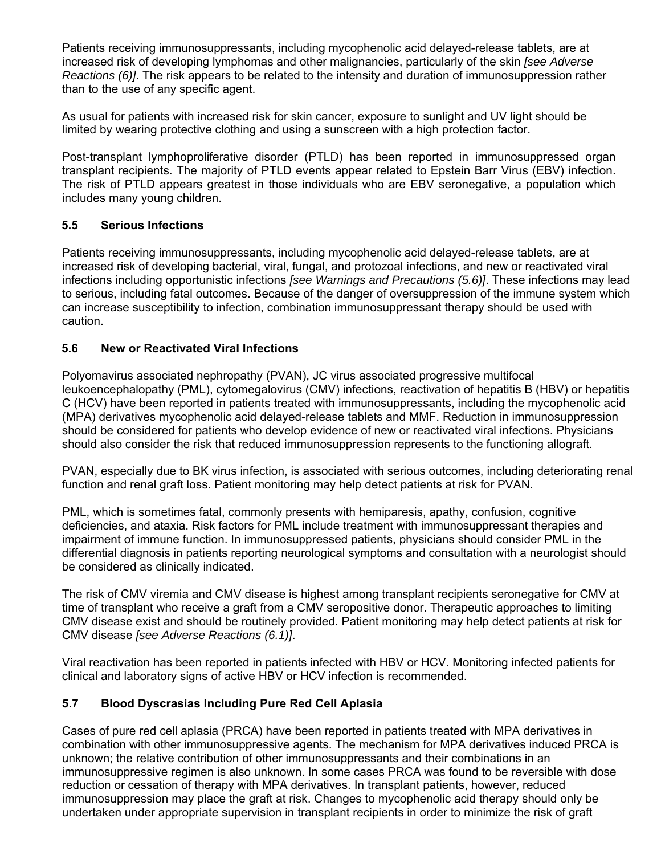<span id="page-4-0"></span>Patients receiving immunosuppressants, including mycophenolic acid delayed-release tablets, are at increased risk of developing lymphomas and other malignancies, particularly of the skin *[see Adverse Reactions (6)]*. The risk appears to be related to the intensity and duration of immunosuppression rather than to the use of any specific agent.

As usual for patients with increased risk for skin cancer, exposure to sunlight and UV light should be limited by wearing protective clothing and using a sunscreen with a high protection factor.

Post-transplant lymphoproliferative disorder (PTLD) has been reported in immunosuppressed organ transplant recipients. The majority of PTLD events appear related to Epstein Barr Virus (EBV) infection. The risk of PTLD appears greatest in those individuals who are EBV seronegative, a population which includes many young children.

# **5.5 Serious Infections**

Patients receiving immunosuppressants, including mycophenolic acid delayed-release tablets, are at increased risk of developing bacterial, viral, fungal, and protozoal infections, and new or reactivated viral infections including opportunistic infections *[see Warnings and Precautions (5.6)]*. These infections may lead to serious, including fatal outcomes. Because of the danger of oversuppression of the immune system which can increase susceptibility to infection, combination immunosuppressant therapy should be used with caution.

# **5.6 New or Reactivated Viral Infections**

Polyomavirus associated nephropathy (PVAN), JC virus associated progressive multifocal leukoencephalopathy (PML), cytomegalovirus (CMV) infections, reactivation of hepatitis B (HBV) or hepatitis C (HCV) have been reported in patients treated with immunosuppressants, including the mycophenolic acid (MPA) derivatives mycophenolic acid delayed-release tablets and MMF. Reduction in immunosuppression should be considered for patients who develop evidence of new or reactivated viral infections. Physicians should also consider the risk that reduced immunosuppression represents to the functioning allograft.

PVAN, especially due to BK virus infection, is associated with serious outcomes, including deteriorating renal function and renal graft loss. Patient monitoring may help detect patients at risk for PVAN.

PML, which is sometimes fatal, commonly presents with hemiparesis, apathy, confusion, cognitive deficiencies, and ataxia. Risk factors for PML include treatment with immunosuppressant therapies and impairment of immune function. In immunosuppressed patients, physicians should consider PML in the differential diagnosis in patients reporting neurological symptoms and consultation with a neurologist should be considered as clinically indicated.

The risk of CMV viremia and CMV disease is highest among transplant recipients seronegative for CMV at time of transplant who receive a graft from a CMV seropositive donor. Therapeutic approaches to limiting CMV disease exist and should be routinely provided. Patient monitoring may help detect patients at risk for CMV disease *[see Adverse Reactions (6.1)]*.

Viral reactivation has been reported in patients infected with HBV or HCV. Monitoring infected patients for clinical and laboratory signs of active HBV or HCV infection is recommended.

# **5.7 Blood Dyscrasias Including Pure Red Cell Aplasia**

Cases of pure red cell aplasia (PRCA) have been reported in patients treated with MPA derivatives in combination with other immunosuppressive agents. The mechanism for MPA derivatives induced PRCA is unknown; the relative contribution of other immunosuppressants and their combinations in an immunosuppressive regimen is also unknown. In some cases PRCA was found to be reversible with dose reduction or cessation of therapy with MPA derivatives. In transplant patients, however, reduced immunosuppression may place the graft at risk. Changes to mycophenolic acid therapy should only be undertaken under appropriate supervision in transplant recipients in order to minimize the risk of graft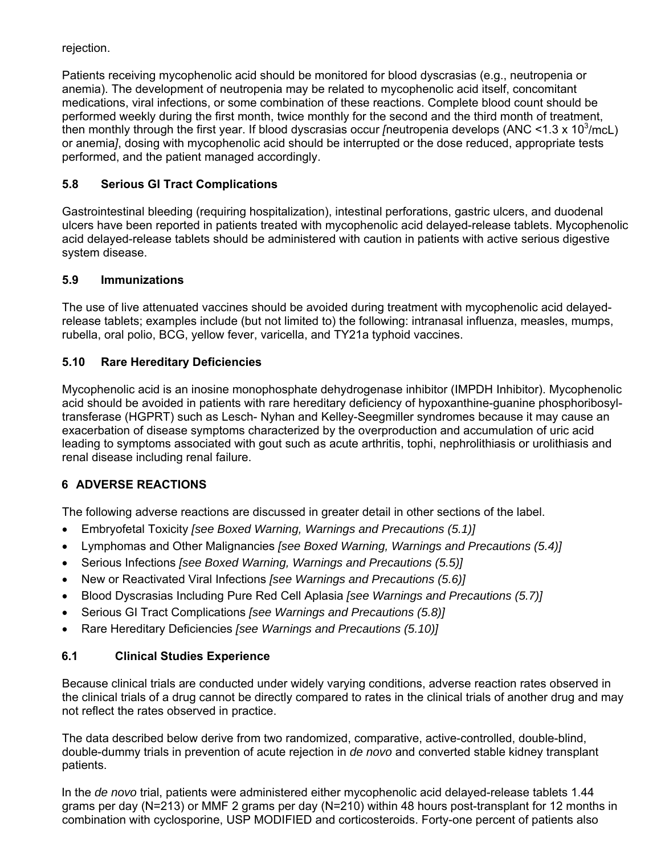<span id="page-5-0"></span>rejection.

Patients receiving mycophenolic acid should be monitored for blood dyscrasias (e.g., neutropenia or anemia). The development of neutropenia may be related to mycophenolic acid itself, concomitant medications, viral infections, or some combination of these reactions. Complete blood count should be performed weekly during the first month, twice monthly for the second and the third month of treatment, then monthly through the first year. If blood dyscrasias occur *[neutropenia develops (ANC <1.3 x 10<sup>3</sup>/mcL)* or anemia*]*, dosing with mycophenolic acid should be interrupted or the dose reduced, appropriate tests performed, and the patient managed accordingly.

# **5.8 Serious GI Tract Complications**

Gastrointestinal bleeding (requiring hospitalization), intestinal perforations, gastric ulcers, and duodenal ulcers have been reported in patients treated with mycophenolic acid delayed-release tablets. Mycophenolic acid delayed-release tablets should be administered with caution in patients with active serious digestive system disease.

## **5.9 Immunizations**

The use of live attenuated vaccines should be avoided during treatment with mycophenolic acid delayedrelease tablets; examples include (but not limited to) the following: intranasal influenza, measles, mumps, rubella, oral polio, BCG, yellow fever, varicella, and TY21a typhoid vaccines.

# **5.10 Rare Hereditary Deficiencies**

Mycophenolic acid is an inosine monophosphate dehydrogenase inhibitor (IMPDH Inhibitor). Mycophenolic acid should be avoided in patients with rare hereditary deficiency of hypoxanthine-guanine phosphoribosyltransferase (HGPRT) such as Lesch- Nyhan and Kelley-Seegmiller syndromes because it may cause an exacerbation of disease symptoms characterized by the overproduction and accumulation of uric acid leading to symptoms associated with gout such as acute arthritis, tophi, nephrolithiasis or urolithiasis and renal disease including renal failure.

# **6 ADVERSE REACTIONS**

The following adverse reactions are discussed in greater detail in other sections of the label.

- Embryofetal Toxicity *[see Boxed Warning, Warnings and Precautions (5.1)]*
- Lymphomas and Other Malignancies *[see Boxed Warning, Warnings and Precautions (5.4)]*
- Serious Infections *[see Boxed Warning, Warnings and Precautions (5.5)]*
- New or Reactivated Viral Infections *[see Warnings and Precautions (5.6)]*
- Blood Dyscrasias Including Pure Red Cell Aplasia *[see Warnings and Precautions (5.7)]*
- Serious GI Tract Complications *[see Warnings and Precautions (5.8)]*
- Rare Hereditary Deficiencies *[see Warnings and Precautions (5.10)]*

# **6.1 Clinical Studies Experience**

Because clinical trials are conducted under widely varying conditions, adverse reaction rates observed in the clinical trials of a drug cannot be directly compared to rates in the clinical trials of another drug and may not reflect the rates observed in practice.

The data described below derive from two randomized, comparative, active-controlled, double-blind, double-dummy trials in prevention of acute rejection in *de novo* and converted stable kidney transplant patients.

In the *de novo* trial, patients were administered either mycophenolic acid delayed-release tablets 1.44 grams per day (N=213) or MMF 2 grams per day (N=210) within 48 hours post-transplant for 12 months in combination with cyclosporine, USP MODIFIED and corticosteroids. Forty-one percent of patients also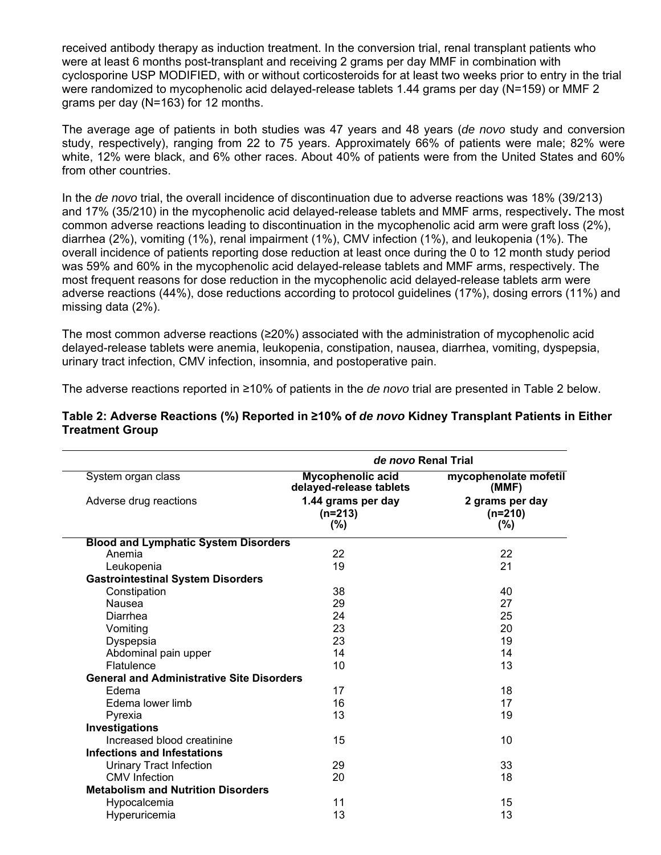received antibody therapy as induction treatment. In the conversion trial, renal transplant patients who were at least 6 months post-transplant and receiving 2 grams per day MMF in combination with cyclosporine USP MODIFIED, with or without corticosteroids for at least two weeks prior to entry in the trial were randomized to mycophenolic acid delayed-release tablets 1.44 grams per day (N=159) or MMF 2 grams per day (N=163) for 12 months.

The average age of patients in both studies was 47 years and 48 years (*de novo* study and conversion study, respectively), ranging from 22 to 75 years. Approximately 66% of patients were male; 82% were white, 12% were black, and 6% other races. About 40% of patients were from the United States and 60% from other countries.

In the *de novo* trial, the overall incidence of discontinuation due to adverse reactions was 18% (39/213) and 17% (35/210) in the mycophenolic acid delayed-release tablets and MMF arms, respectively**.** The most common adverse reactions leading to discontinuation in the mycophenolic acid arm were graft loss (2%), diarrhea (2%), vomiting (1%), renal impairment (1%), CMV infection (1%), and leukopenia (1%). The overall incidence of patients reporting dose reduction at least once during the 0 to 12 month study period was 59% and 60% in the mycophenolic acid delayed-release tablets and MMF arms, respectively. The most frequent reasons for dose reduction in the mycophenolic acid delayed-release tablets arm were adverse reactions (44%), dose reductions according to protocol guidelines (17%), dosing errors (11%) and missing data (2%).

The most common adverse reactions (≥20%) associated with the administration of mycophenolic acid delayed-release tablets were anemia, leukopenia, constipation, nausea, diarrhea, vomiting, dyspepsia, urinary tract infection, CMV infection, insomnia, and postoperative pain.

The adverse reactions reported in ≥10% of patients in the *de novo* trial are presented in Table 2 below.

|                                                  | de novo Renal Trial                                 |                                         |  |  |
|--------------------------------------------------|-----------------------------------------------------|-----------------------------------------|--|--|
| System organ class                               | <b>Mycophenolic acid</b><br>delayed-release tablets | mycophenolate mofetil<br>(MMF)          |  |  |
| Adverse drug reactions                           | 1.44 grams per day<br>$(n=213)$<br>$(\% )$          | 2 grams per day<br>$(n=210)$<br>$(\% )$ |  |  |
| <b>Blood and Lymphatic System Disorders</b>      |                                                     |                                         |  |  |
| Anemia                                           | 22                                                  | 22                                      |  |  |
| Leukopenia                                       | 19                                                  | 21                                      |  |  |
| <b>Gastrointestinal System Disorders</b>         |                                                     |                                         |  |  |
| Constipation                                     | 38                                                  | 40                                      |  |  |
| Nausea                                           | 29                                                  | 27                                      |  |  |
| Diarrhea                                         | 24                                                  | 25                                      |  |  |
| Vomiting                                         | 23                                                  | 20                                      |  |  |
| Dyspepsia                                        | 23                                                  | 19                                      |  |  |
| Abdominal pain upper                             | 14                                                  | 14                                      |  |  |
| Flatulence                                       | 10                                                  | 13                                      |  |  |
| <b>General and Administrative Site Disorders</b> |                                                     |                                         |  |  |
| Edema                                            | 17                                                  | 18                                      |  |  |
| Edema lower limb                                 | 16                                                  | 17                                      |  |  |
| Pyrexia                                          | 13                                                  | 19                                      |  |  |
| Investigations                                   |                                                     |                                         |  |  |
| Increased blood creatinine                       | 15                                                  | 10                                      |  |  |
| <b>Infections and Infestations</b>               |                                                     |                                         |  |  |
| <b>Urinary Tract Infection</b>                   | 29                                                  | 33                                      |  |  |
| <b>CMV</b> Infection                             | 20                                                  | 18                                      |  |  |
| <b>Metabolism and Nutrition Disorders</b>        |                                                     |                                         |  |  |
| Hypocalcemia                                     | 11                                                  | 15                                      |  |  |
| Hyperuricemia                                    | 13                                                  | 13                                      |  |  |

#### **Table 2: Adverse Reactions (%) Reported in ≥10% of** *de novo* **Kidney Transplant Patients in Either Treatment Group**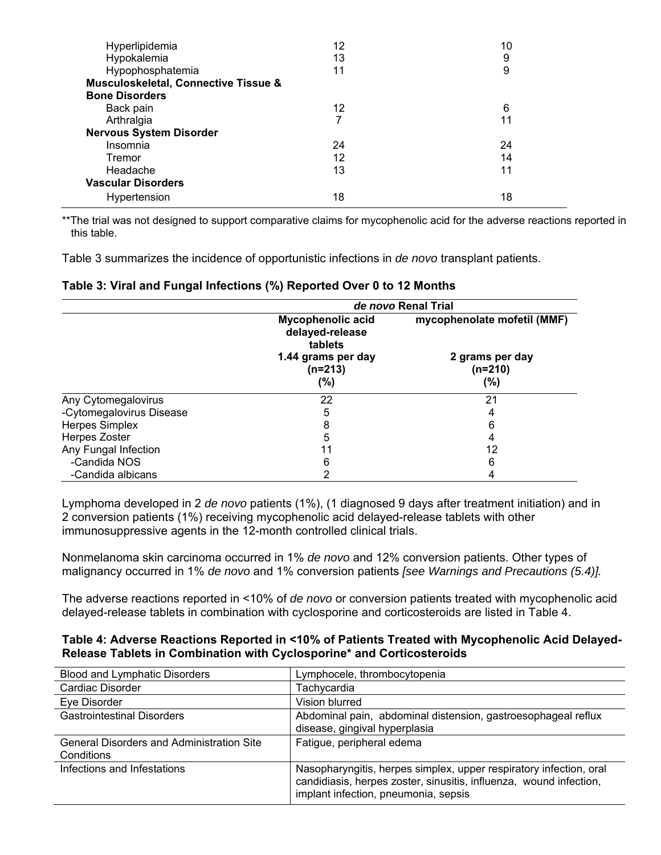| Hyperlipidemia                                  | 12 | 10 |
|-------------------------------------------------|----|----|
| Hypokalemia                                     | 13 | 9  |
| Hypophosphatemia                                | 11 | 9  |
| <b>Musculoskeletal, Connective Tissue &amp;</b> |    |    |
| <b>Bone Disorders</b>                           |    |    |
| Back pain                                       | 12 | 6  |
| Arthralgia                                      | 7  | 11 |
| <b>Nervous System Disorder</b>                  |    |    |
| Insomnia                                        | 24 | 24 |
| Tremor                                          | 12 | 14 |
| Headache                                        | 13 | 11 |
| <b>Vascular Disorders</b>                       |    |    |
| Hypertension                                    | 18 | 18 |

\*\*The trial was not designed to support comparative claims for mycophenolic acid for the adverse reactions reported in this table.

Table 3 summarizes the incidence of opportunistic infections in *de novo* transplant patients.

#### **Table 3: Viral and Fungal Infections (%) Reported Over 0 to 12 Months**

|                          | de novo Renal Trial                             |                                     |  |
|--------------------------|-------------------------------------------------|-------------------------------------|--|
|                          | Mycophenolic acid<br>delayed-release<br>tablets | mycophenolate mofetil (MMF)         |  |
|                          | 1.44 grams per day<br>$(n=213)$<br>(%)          | 2 grams per day<br>$(n=210)$<br>(%) |  |
| Any Cytomegalovirus      | 22                                              | 21                                  |  |
| -Cytomegalovirus Disease | 5                                               |                                     |  |
| <b>Herpes Simplex</b>    | 8                                               | 6                                   |  |
| Herpes Zoster            | 5                                               | 4                                   |  |
| Any Fungal Infection     | 11                                              | 12                                  |  |
| -Candida NOS             | 6                                               | 6                                   |  |
| -Candida albicans        | っ                                               |                                     |  |

Lymphoma developed in 2 *de novo* patients (1%), (1 diagnosed 9 days after treatment initiation) and in 2 conversion patients (1%) receiving mycophenolic acid delayed-release tablets with other immunosuppressive agents in the 12-month controlled clinical trials.

Nonmelanoma skin carcinoma occurred in 1% *de novo* and 12% conversion patients. Other types of malignancy occurred in 1% *de novo* and 1% conversion patients *[see Warnings and Precautions (5.4)].*

The adverse reactions reported in <10% of *de novo* or conversion patients treated with mycophenolic acid delayed-release tablets in combination with cyclosporine and corticosteroids are listed in Table 4.

#### **Table 4: Adverse Reactions Reported in <10% of Patients Treated with Mycophenolic Acid Delayed-Release Tablets in Combination with Cyclosporine\* and Corticosteroids**

| <b>Blood and Lymphatic Disorders</b>                           | Lymphocele, thrombocytopenia                                                                                                                                                     |
|----------------------------------------------------------------|----------------------------------------------------------------------------------------------------------------------------------------------------------------------------------|
| Cardiac Disorder                                               | Tachycardia                                                                                                                                                                      |
| Eye Disorder                                                   | Vision blurred                                                                                                                                                                   |
| <b>Gastrointestinal Disorders</b>                              | Abdominal pain, abdominal distension, gastroesophageal reflux<br>disease, gingival hyperplasia                                                                                   |
| <b>General Disorders and Administration Site</b><br>Conditions | Fatigue, peripheral edema                                                                                                                                                        |
| Infections and Infestations                                    | Nasopharyngitis, herpes simplex, upper respiratory infection, oral<br>candidiasis, herpes zoster, sinusitis, influenza, wound infection,<br>implant infection, pneumonia, sepsis |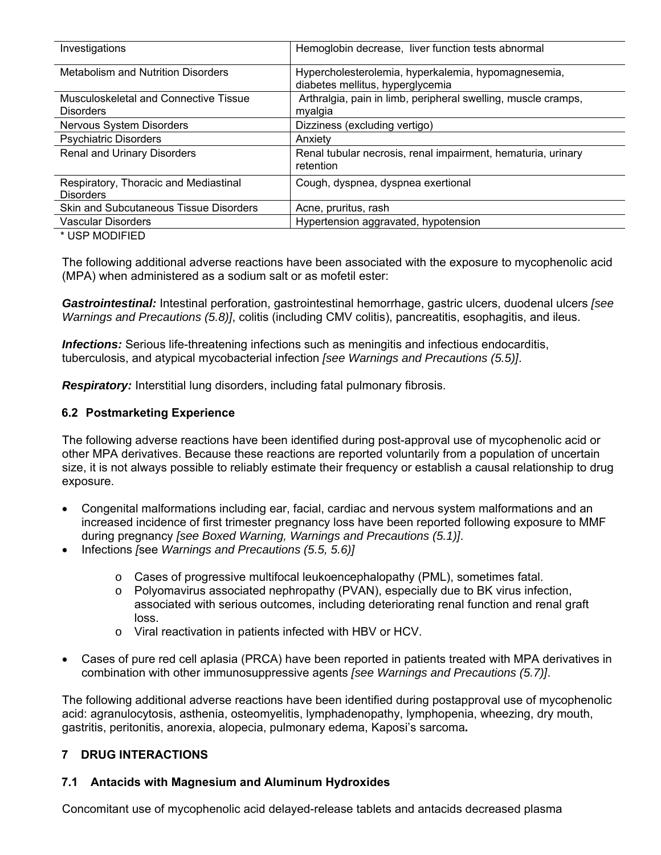<span id="page-8-0"></span>

| Investigations                                            | Hemoglobin decrease, liver function tests abnormal                                      |
|-----------------------------------------------------------|-----------------------------------------------------------------------------------------|
| <b>Metabolism and Nutrition Disorders</b>                 | Hypercholesterolemia, hyperkalemia, hypomagnesemia,<br>diabetes mellitus, hyperglycemia |
| Musculoskeletal and Connective Tissue<br><b>Disorders</b> | Arthralgia, pain in limb, peripheral swelling, muscle cramps,<br>myalgia                |
| Nervous System Disorders                                  | Dizziness (excluding vertigo)                                                           |
| <b>Psychiatric Disorders</b>                              | Anxiety                                                                                 |
| Renal and Urinary Disorders                               | Renal tubular necrosis, renal impairment, hematuria, urinary<br>retention               |
| Respiratory, Thoracic and Mediastinal<br><b>Disorders</b> | Cough, dyspnea, dyspnea exertional                                                      |
| Skin and Subcutaneous Tissue Disorders                    | Acne, pruritus, rash                                                                    |
| Vascular Disorders                                        | Hypertension aggravated, hypotension                                                    |

\* USP MODIFIED

The following additional adverse reactions have been associated with the exposure to mycophenolic acid (MPA) when administered as a sodium salt or as mofetil ester:

*Gastrointestinal:* Intestinal perforation, gastrointestinal hemorrhage, gastric ulcers, duodenal ulcers *[see Warnings and Precautions (5.8)]*, colitis (including CMV colitis), pancreatitis, esophagitis, and ileus.

*Infections:* Serious life-threatening infections such as meningitis and infectious endocarditis, tuberculosis, and atypical mycobacterial infection *[see Warnings and Precautions (5.5)]*.

**Respiratory:** Interstitial lung disorders, including fatal pulmonary fibrosis.

#### **6.2 Postmarketing Experience**

The following adverse reactions have been identified during post-approval use of mycophenolic acid or other MPA derivatives. Because these reactions are reported voluntarily from a population of uncertain size, it is not always possible to reliably estimate their frequency or establish a causal relationship to drug exposure.

- Congenital malformations including ear, facial, cardiac and nervous system malformations and an increased incidence of first trimester pregnancy loss have been reported following exposure to MMF during pregnancy *[see Boxed Warning, Warnings and Precautions (5.1)]*.
- Infections *[*see *Warnings and Precautions (5.5, 5.6)]*
	- $\circ$  Cases of progressive multifocal leukoencephalopathy (PML), sometimes fatal.
	- $\circ$  Polyomavirus associated nephropathy (PVAN), especially due to BK virus infection, associated with serious outcomes, including deteriorating renal function and renal graft loss.
	- o Viral reactivation in patients infected with HBV or HCV.
- Cases of pure red cell aplasia (PRCA) have been reported in patients treated with MPA derivatives in combination with other immunosuppressive agents *[see Warnings and Precautions (5.7)]*.

The following additional adverse reactions have been identified during postapproval use of mycophenolic acid: agranulocytosis, asthenia, osteomyelitis, lymphadenopathy, lymphopenia, wheezing, dry mouth, gastritis, peritonitis, anorexia, alopecia, pulmonary edema, Kaposi's sarcoma*.* 

## **7 DRUG INTERACTIONS**

#### **7.1 Antacids with Magnesium and Aluminum Hydroxides**

Concomitant use of mycophenolic acid delayed-release tablets and antacids decreased plasma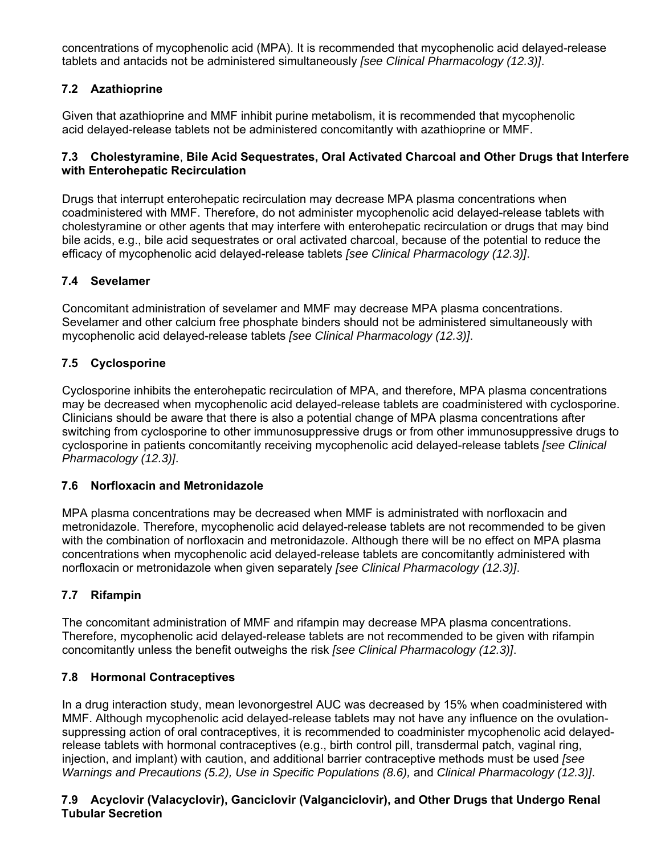<span id="page-9-0"></span>concentrations of mycophenolic acid (MPA). It is recommended that mycophenolic acid delayed-release tablets and antacids not be administered simultaneously *[see Clinical Pharmacology (12.3)]*.

# **7.2 Azathioprine**

Given that azathioprine and MMF inhibit purine metabolism, it is recommended that mycophenolic acid delayed-release tablets not be administered concomitantly with azathioprine or MMF.

## **7.3 Cholestyramine**, **Bile Acid Sequestrates, Oral Activated Charcoal and Other Drugs that Interfere with Enterohepatic Recirculation**

Drugs that interrupt enterohepatic recirculation may decrease MPA plasma concentrations when coadministered with MMF. Therefore, do not administer mycophenolic acid delayed-release tablets with cholestyramine or other agents that may interfere with enterohepatic recirculation or drugs that may bind bile acids, e.g., bile acid sequestrates or oral activated charcoal, because of the potential to reduce the efficacy of mycophenolic acid delayed-release tablets *[see Clinical Pharmacology (12.3)]*.

# **7.4 Sevelamer**

Concomitant administration of sevelamer and MMF may decrease MPA plasma concentrations. Sevelamer and other calcium free phosphate binders should not be administered simultaneously with mycophenolic acid delayed-release tablets *[see Clinical Pharmacology (12.3)]*.

# **7.5 Cyclosporine**

Cyclosporine inhibits the enterohepatic recirculation of MPA, and therefore, MPA plasma concentrations may be decreased when mycophenolic acid delayed-release tablets are coadministered with cyclosporine. Clinicians should be aware that there is also a potential change of MPA plasma concentrations after switching from cyclosporine to other immunosuppressive drugs or from other immunosuppressive drugs to cyclosporine in patients concomitantly receiving mycophenolic acid delayed-release tablets *[see Clinical Pharmacology (12.3)]*.

# **7.6 Norfloxacin and Metronidazole**

MPA plasma concentrations may be decreased when MMF is administrated with norfloxacin and metronidazole. Therefore, mycophenolic acid delayed-release tablets are not recommended to be given with the combination of norfloxacin and metronidazole. Although there will be no effect on MPA plasma concentrations when mycophenolic acid delayed-release tablets are concomitantly administered with norfloxacin or metronidazole when given separately *[see Clinical Pharmacology (12.3)]*.

# **7.7 Rifampin**

The concomitant administration of MMF and rifampin may decrease MPA plasma concentrations. Therefore, mycophenolic acid delayed-release tablets are not recommended to be given with rifampin concomitantly unless the benefit outweighs the risk *[see Clinical Pharmacology (12.3)]*.

# **7.8 Hormonal Contraceptives**

In a drug interaction study, mean levonorgestrel AUC was decreased by 15% when coadministered with MMF. Although mycophenolic acid delayed-release tablets may not have any influence on the ovulationsuppressing action of oral contraceptives, it is recommended to coadminister mycophenolic acid delayedrelease tablets with hormonal contraceptives (e.g., birth control pill, transdermal patch, vaginal ring, injection, and implant) with caution, and additional barrier contraceptive methods must be used *[see Warnings and Precautions (5.2), Use in Specific Populations (8.6), and Clinical Pharmacology (12.3)].* 

# **7.9 Acyclovir (Valacyclovir), Ganciclovir (Valganciclovir), and Other Drugs that Undergo Renal Tubular Secretion**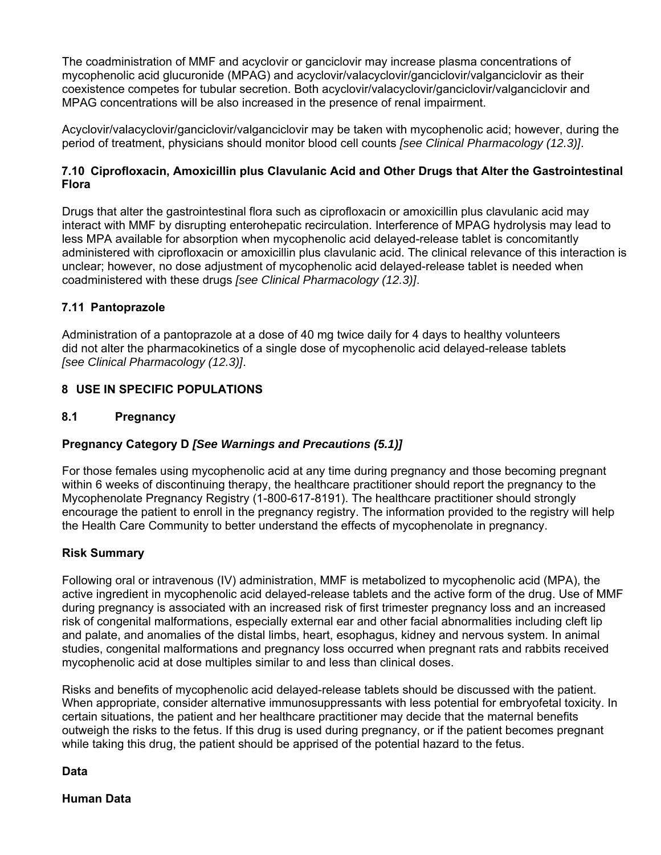<span id="page-10-0"></span>The coadministration of MMF and acyclovir or ganciclovir may increase plasma concentrations of mycophenolic acid glucuronide (MPAG) and acyclovir/valacyclovir/ganciclovir/valganciclovir as their coexistence competes for tubular secretion. Both acyclovir/valacyclovir/ganciclovir/valganciclovir and MPAG concentrations will be also increased in the presence of renal impairment.

Acyclovir/valacyclovir/ganciclovir/valganciclovir may be taken with mycophenolic acid; however, during the period of treatment, physicians should monitor blood cell counts *[see Clinical Pharmacology (12.3)]*.

## **7.10 Ciprofloxacin, Amoxicillin plus Clavulanic Acid and Other Drugs that Alter the Gastrointestinal Flora**

Drugs that alter the gastrointestinal flora such as ciprofloxacin or amoxicillin plus clavulanic acid may interact with MMF by disrupting enterohepatic recirculation. Interference of MPAG hydrolysis may lead to less MPA available for absorption when mycophenolic acid delayed-release tablet is concomitantly administered with ciprofloxacin or amoxicillin plus clavulanic acid. The clinical relevance of this interaction is unclear; however, no dose adjustment of mycophenolic acid delayed-release tablet is needed when coadministered with these drugs *[see Clinical Pharmacology (12.3)]*.

## **7.11 Pantoprazole**

Administration of a pantoprazole at a dose of 40 mg twice daily for 4 days to healthy volunteers did not alter the pharmacokinetics of a single dose of mycophenolic acid delayed-release tablets *[see Clinical Pharmacology (12.3)]*.

## **8 USE IN SPECIFIC POPULATIONS**

#### **8.1 Pregnancy**

# **Pregnancy Category D** *[See Warnings and Precautions (5.1)]*

For those females using mycophenolic acid at any time during pregnancy and those becoming pregnant within 6 weeks of discontinuing therapy, the healthcare practitioner should report the pregnancy to the Mycophenolate Pregnancy Registry (1-800-617-8191). The healthcare practitioner should strongly encourage the patient to enroll in the pregnancy registry. The information provided to the registry will help the Health Care Community to better understand the effects of mycophenolate in pregnancy.

#### **Risk Summary**

Following oral or intravenous (IV) administration, MMF is metabolized to mycophenolic acid (MPA), the active ingredient in mycophenolic acid delayed-release tablets and the active form of the drug. Use of MMF during pregnancy is associated with an increased risk of first trimester pregnancy loss and an increased risk of congenital malformations, especially external ear and other facial abnormalities including cleft lip and palate, and anomalies of the distal limbs, heart, esophagus, kidney and nervous system. In animal studies, congenital malformations and pregnancy loss occurred when pregnant rats and rabbits received mycophenolic acid at dose multiples similar to and less than clinical doses.

Risks and benefits of mycophenolic acid delayed-release tablets should be discussed with the patient. When appropriate, consider alternative immunosuppressants with less potential for embryofetal toxicity. In certain situations, the patient and her healthcare practitioner may decide that the maternal benefits outweigh the risks to the fetus. If this drug is used during pregnancy, or if the patient becomes pregnant while taking this drug, the patient should be apprised of the potential hazard to the fetus.

**Data** 

**Human Data**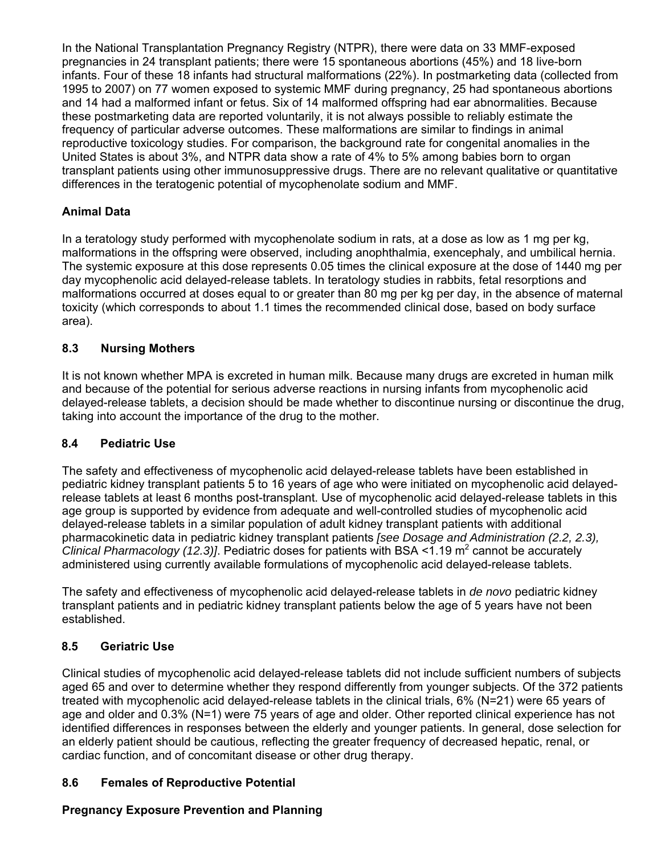<span id="page-11-0"></span>In the National Transplantation Pregnancy Registry (NTPR), there were data on 33 MMF-exposed pregnancies in 24 transplant patients; there were 15 spontaneous abortions (45%) and 18 live-born infants. Four of these 18 infants had structural malformations (22%). In postmarketing data (collected from 1995 to 2007) on 77 women exposed to systemic MMF during pregnancy, 25 had spontaneous abortions and 14 had a malformed infant or fetus. Six of 14 malformed offspring had ear abnormalities. Because these postmarketing data are reported voluntarily, it is not always possible to reliably estimate the frequency of particular adverse outcomes. These malformations are similar to findings in animal reproductive toxicology studies. For comparison, the background rate for congenital anomalies in the United States is about 3%, and NTPR data show a rate of 4% to 5% among babies born to organ transplant patients using other immunosuppressive drugs. There are no relevant qualitative or quantitative differences in the teratogenic potential of mycophenolate sodium and MMF.

# **Animal Data**

In a teratology study performed with mycophenolate sodium in rats, at a dose as low as 1 mg per kg, malformations in the offspring were observed, including anophthalmia, exencephaly, and umbilical hernia. The systemic exposure at this dose represents 0.05 times the clinical exposure at the dose of 1440 mg per day mycophenolic acid delayed-release tablets. In teratology studies in rabbits, fetal resorptions and malformations occurred at doses equal to or greater than 80 mg per kg per day, in the absence of maternal toxicity (which corresponds to about 1.1 times the recommended clinical dose, based on body surface area).

# **8.3 Nursing Mothers**

It is not known whether MPA is excreted in human milk. Because many drugs are excreted in human milk and because of the potential for serious adverse reactions in nursing infants from mycophenolic acid delayed-release tablets, a decision should be made whether to discontinue nursing or discontinue the drug, taking into account the importance of the drug to the mother.

# **8.4 Pediatric Use**

The safety and effectiveness of mycophenolic acid delayed-release tablets have been established in pediatric kidney transplant patients 5 to 16 years of age who were initiated on mycophenolic acid delayedrelease tablets at least 6 months post-transplant. Use of mycophenolic acid delayed-release tablets in this age group is supported by evidence from adequate and well-controlled studies of mycophenolic acid delayed-release tablets in a similar population of adult kidney transplant patients with additional pharmacokinetic data in pediatric kidney transplant patients *[see Dosage and Administration (2.2, 2.3), Clinical Pharmacology (12.3)].* Pediatric doses for patients with BSA <1.19 m<sup>2</sup> cannot be accurately administered using currently available formulations of mycophenolic acid delayed-release tablets.

The safety and effectiveness of mycophenolic acid delayed-release tablets in *de novo* pediatric kidney transplant patients and in pediatric kidney transplant patients below the age of 5 years have not been established.

# **8.5 Geriatric Use**

Clinical studies of mycophenolic acid delayed-release tablets did not include sufficient numbers of subjects aged 65 and over to determine whether they respond differently from younger subjects. Of the 372 patients treated with mycophenolic acid delayed-release tablets in the clinical trials, 6% (N=21) were 65 years of age and older and 0.3% (N=1) were 75 years of age and older. Other reported clinical experience has not identified differences in responses between the elderly and younger patients. In general, dose selection for an elderly patient should be cautious, reflecting the greater frequency of decreased hepatic, renal, or cardiac function, and of concomitant disease or other drug therapy.

# **8.6 Females of Reproductive Potential**

# **Pregnancy Exposure Prevention and Planning**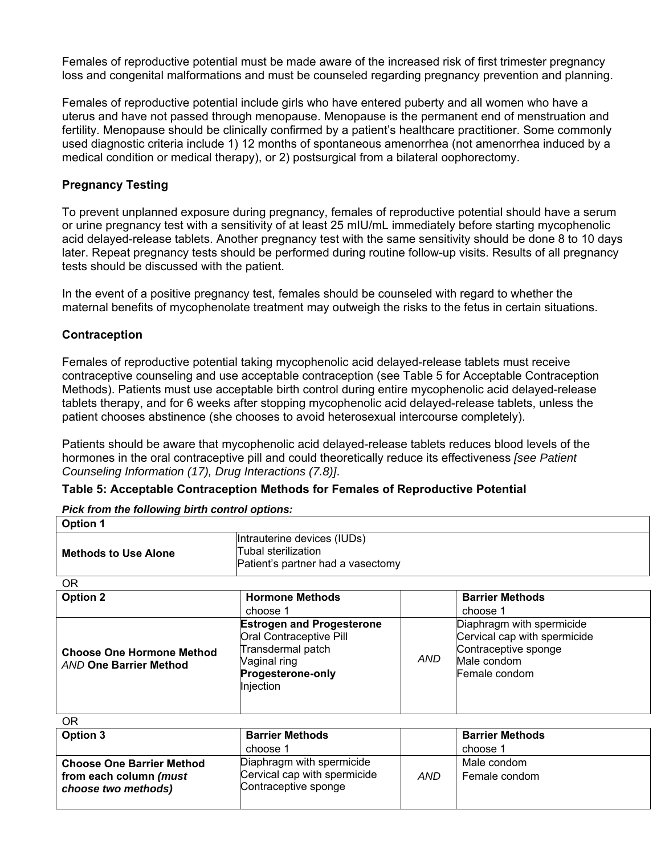Females of reproductive potential must be made aware of the increased risk of first trimester pregnancy loss and congenital malformations and must be counseled regarding pregnancy prevention and planning.

Females of reproductive potential include girls who have entered puberty and all women who have a uterus and have not passed through menopause. Menopause is the permanent end of menstruation and fertility. Menopause should be clinically confirmed by a patient's healthcare practitioner. Some commonly used diagnostic criteria include 1) 12 months of spontaneous amenorrhea (not amenorrhea induced by a medical condition or medical therapy), or 2) postsurgical from a bilateral oophorectomy.

#### **Pregnancy Testing**

To prevent unplanned exposure during pregnancy, females of reproductive potential should have a serum or urine pregnancy test with a sensitivity of at least 25 mIU/mL immediately before starting mycophenolic acid delayed-release tablets. Another pregnancy test with the same sensitivity should be done 8 to 10 days later. Repeat pregnancy tests should be performed during routine follow-up visits. Results of all pregnancy tests should be discussed with the patient.

In the event of a positive pregnancy test, females should be counseled with regard to whether the maternal benefits of mycophenolate treatment may outweigh the risks to the fetus in certain situations.

#### **Contraception**

Females of reproductive potential taking mycophenolic acid delayed-release tablets must receive contraceptive counseling and use acceptable contraception (see Table 5 for Acceptable Contraception Methods). Patients must use acceptable birth control during entire mycophenolic acid delayed-release tablets therapy, and for 6 weeks after stopping mycophenolic acid delayed-release tablets, unless the patient chooses abstinence (she chooses to avoid heterosexual intercourse completely).

Patients should be aware that mycophenolic acid delayed-release tablets reduces blood levels of the hormones in the oral contraceptive pill and could theoretically reduce its effectiveness *[see Patient Counseling Information (17), Drug Interactions (7.8)]*.

#### **Table 5: Acceptable Contraception Methods for Females of Reproductive Potential**

| Pick from the following birth control options:                    |                                                                                                                                           |            |                                                                                                                   |  |
|-------------------------------------------------------------------|-------------------------------------------------------------------------------------------------------------------------------------------|------------|-------------------------------------------------------------------------------------------------------------------|--|
| <b>Option 1</b>                                                   |                                                                                                                                           |            |                                                                                                                   |  |
| <b>Methods to Use Alone</b>                                       | Intrauterine devices (IUDs)<br>Tubal sterilization<br>Patient's partner had a vasectomy                                                   |            |                                                                                                                   |  |
| OR.                                                               |                                                                                                                                           |            |                                                                                                                   |  |
| <b>Option 2</b>                                                   | <b>Hormone Methods</b>                                                                                                                    |            | <b>Barrier Methods</b>                                                                                            |  |
|                                                                   | choose 1                                                                                                                                  |            | choose 1                                                                                                          |  |
| <b>Choose One Hormone Method</b><br><b>AND One Barrier Method</b> | <b>Estrogen and Progesterone</b><br>Oral Contraceptive Pill<br>Transdermal patch<br>Vaginal ring<br><b>Progesterone-only</b><br>Injection | <b>AND</b> | Diaphragm with spermicide<br>Cervical cap with spermicide<br>Contraceptive sponge<br>Male condom<br>Female condom |  |
| $\cap$                                                            |                                                                                                                                           |            |                                                                                                                   |  |

| ΟR                                                                                |                                                                                   |     |                              |
|-----------------------------------------------------------------------------------|-----------------------------------------------------------------------------------|-----|------------------------------|
| Option 3                                                                          | <b>Barrier Methods</b>                                                            |     | <b>Barrier Methods</b>       |
|                                                                                   | choose 1                                                                          |     | choose 1                     |
| <b>Choose One Barrier Method</b><br>from each column (must<br>choose two methods) | Diaphragm with spermicide<br>Cervical cap with spermicide<br>Contraceptive sponge | AND | Male condom<br>Female condom |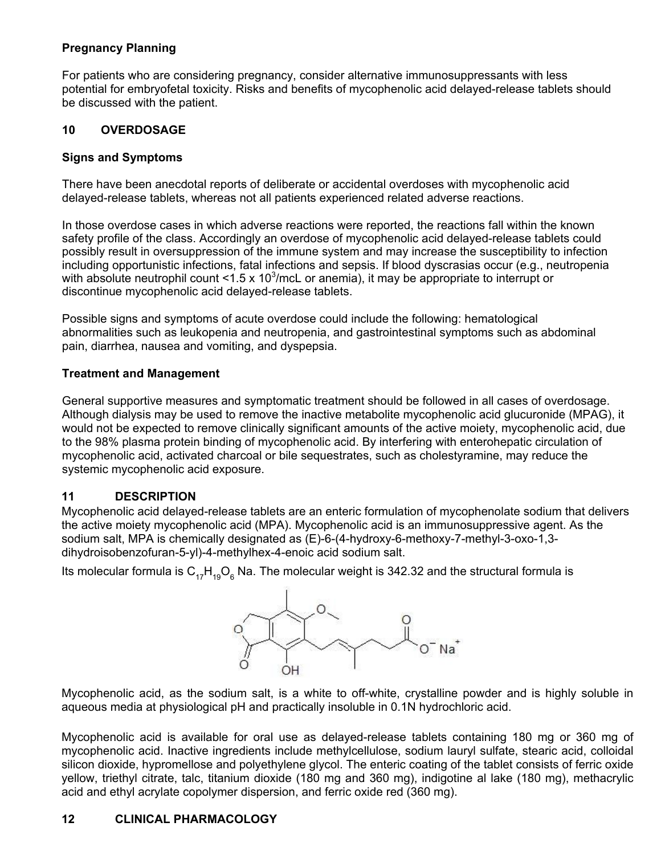# <span id="page-13-0"></span>**Pregnancy Planning**

For patients who are considering pregnancy, consider alternative immunosuppressants with less potential for embryofetal toxicity. Risks and benefits of mycophenolic acid delayed-release tablets should be discussed with the patient.

# **10 OVERDOSAGE**

# **Signs and Symptoms**

There have been anecdotal reports of deliberate or accidental overdoses with mycophenolic acid delayed-release tablets, whereas not all patients experienced related adverse reactions.

In those overdose cases in which adverse reactions were reported, the reactions fall within the known safety profile of the class. Accordingly an overdose of mycophenolic acid delayed-release tablets could possibly result in oversuppression of the immune system and may increase the susceptibility to infection including opportunistic infections, fatal infections and sepsis. If blood dyscrasias occur (e.g., neutropenia with absolute neutrophil count <1.5 x 10<sup>3</sup>/mcL or anemia), it may be appropriate to interrupt or discontinue mycophenolic acid delayed-release tablets.

Possible signs and symptoms of acute overdose could include the following: hematological abnormalities such as leukopenia and neutropenia, and gastrointestinal symptoms such as abdominal pain, diarrhea, nausea and vomiting, and dyspepsia.

## **Treatment and Management**

General supportive measures and symptomatic treatment should be followed in all cases of overdosage. Although dialysis may be used to remove the inactive metabolite mycophenolic acid glucuronide (MPAG), it would not be expected to remove clinically significant amounts of the active moiety, mycophenolic acid, due to the 98% plasma protein binding of mycophenolic acid. By interfering with enterohepatic circulation of mycophenolic acid, activated charcoal or bile sequestrates, such as cholestyramine, may reduce the systemic mycophenolic acid exposure.

# **11 DESCRIPTION**

Mycophenolic acid delayed-release tablets are an enteric formulation of mycophenolate sodium that delivers the active moiety mycophenolic acid (MPA). Mycophenolic acid is an immunosuppressive agent. As the sodium salt, MPA is chemically designated as (E)-6-(4-hydroxy-6-methoxy-7-methyl-3-oxo-1,3 dihydroisobenzofuran-5-yl)-4-methylhex-4-enoic acid sodium salt.

Its molecular formula is  ${\sf C}_{17}{\sf H}_{19}{\sf O}_6$  Na. The molecular weight is 342.32 and the structural formula is



Mycophenolic acid, as the sodium salt, is a white to off-white, crystalline powder and is highly soluble in aqueous media at physiological pH and practically insoluble in 0.1N hydrochloric acid.

Mycophenolic acid is available for oral use as delayed-release tablets containing 180 mg or 360 mg of mycophenolic acid. Inactive ingredients include methylcellulose, sodium lauryl sulfate, stearic acid, colloidal silicon dioxide, hypromellose and polyethylene glycol. The enteric coating of the tablet consists of ferric oxide yellow, triethyl citrate, talc, titanium dioxide (180 mg and 360 mg), indigotine al lake (180 mg), methacrylic acid and ethyl acrylate copolymer dispersion, and ferric oxide red (360 mg).

# **12 CLINICAL PHARMACOLOGY**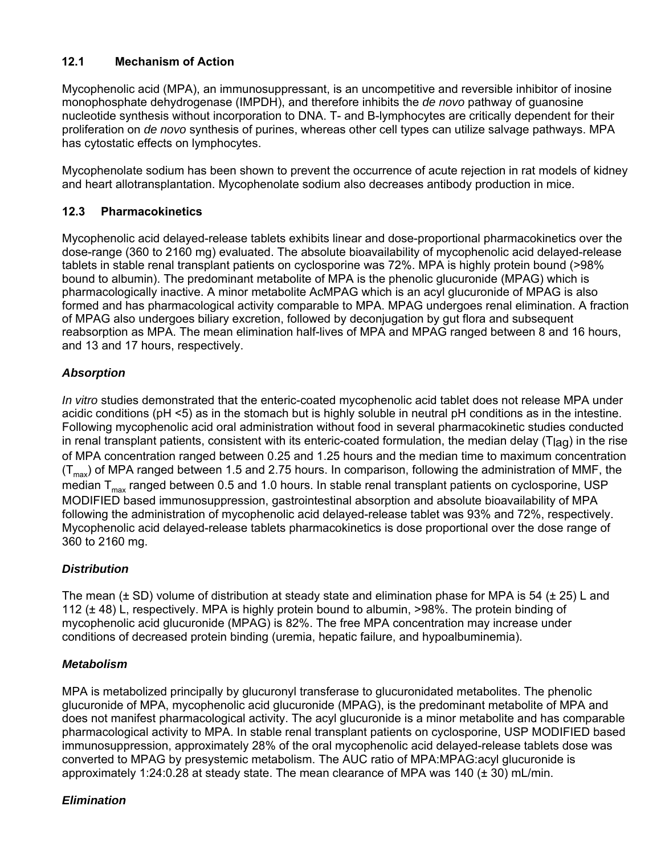# <span id="page-14-0"></span>**12.1 Mechanism of Action**

Mycophenolic acid (MPA), an immunosuppressant, is an uncompetitive and reversible inhibitor of inosine monophosphate dehydrogenase (IMPDH), and therefore inhibits the *de novo* pathway of guanosine nucleotide synthesis without incorporation to DNA. T- and B-lymphocytes are critically dependent for their proliferation on *de novo* synthesis of purines, whereas other cell types can utilize salvage pathways. MPA has cytostatic effects on lymphocytes.

Mycophenolate sodium has been shown to prevent the occurrence of acute rejection in rat models of kidney and heart allotransplantation. Mycophenolate sodium also decreases antibody production in mice.

# **12.3 Pharmacokinetics**

Mycophenolic acid delayed-release tablets exhibits linear and dose-proportional pharmacokinetics over the dose-range (360 to 2160 mg) evaluated. The absolute bioavailability of mycophenolic acid delayed-release tablets in stable renal transplant patients on cyclosporine was 72%. MPA is highly protein bound (>98% bound to albumin). The predominant metabolite of MPA is the phenolic glucuronide (MPAG) which is pharmacologically inactive. A minor metabolite AcMPAG which is an acyl glucuronide of MPAG is also formed and has pharmacological activity comparable to MPA. MPAG undergoes renal elimination. A fraction of MPAG also undergoes biliary excretion, followed by deconjugation by gut flora and subsequent reabsorption as MPA. The mean elimination half-lives of MPA and MPAG ranged between 8 and 16 hours, and 13 and 17 hours, respectively.

# *Absorption*

*In vitro* studies demonstrated that the enteric-coated mycophenolic acid tablet does not release MPA under acidic conditions (pH <5) as in the stomach but is highly soluble in neutral pH conditions as in the intestine. Following mycophenolic acid oral administration without food in several pharmacokinetic studies conducted in renal transplant patients, consistent with its enteric-coated formulation, the median delay ( $T<sub>l</sub>$ ag) in the rise of MPA concentration ranged between 0.25 and 1.25 hours and the median time to maximum concentration  $(T<sub>max</sub>)$  of MPA ranged between 1.5 and 2.75 hours. In comparison, following the administration of MMF, the median  $T_{\text{max}}$  ranged between 0.5 and 1.0 hours. In stable renal transplant patients on cyclosporine, USP MODIFIED based immunosuppression, gastrointestinal absorption and absolute bioavailability of MPA following the administration of mycophenolic acid delayed-release tablet was 93% and 72%, respectively. Mycophenolic acid delayed-release tablets pharmacokinetics is dose proportional over the dose range of 360 to 2160 mg.

# *Distribution*

The mean ( $\pm$  SD) volume of distribution at steady state and elimination phase for MPA is 54 ( $\pm$  25) L and 112 (± 48) L, respectively. MPA is highly protein bound to albumin, >98%. The protein binding of mycophenolic acid glucuronide (MPAG) is 82%. The free MPA concentration may increase under conditions of decreased protein binding (uremia, hepatic failure, and hypoalbuminemia).

# *Metabolism*

MPA is metabolized principally by glucuronyl transferase to glucuronidated metabolites. The phenolic glucuronide of MPA, mycophenolic acid glucuronide (MPAG), is the predominant metabolite of MPA and does not manifest pharmacological activity. The acyl glucuronide is a minor metabolite and has comparable pharmacological activity to MPA. In stable renal transplant patients on cyclosporine, USP MODIFIED based immunosuppression, approximately 28% of the oral mycophenolic acid delayed-release tablets dose was converted to MPAG by presystemic metabolism. The AUC ratio of MPA:MPAG:acyl glucuronide is approximately 1:24:0.28 at steady state. The mean clearance of MPA was  $140$  ( $\pm$  30) mL/min.

# *Elimination*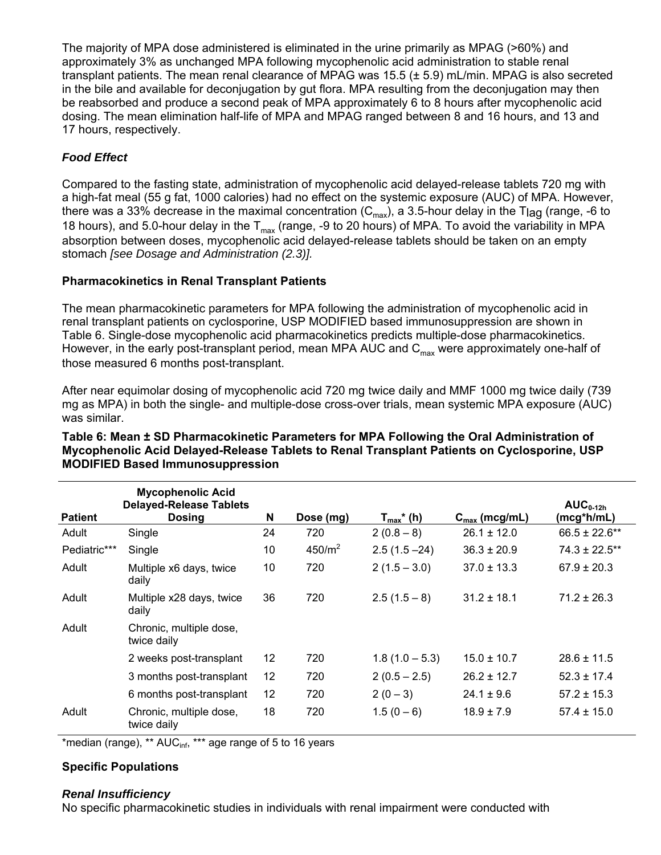The majority of MPA dose administered is eliminated in the urine primarily as MPAG (>60%) and approximately 3% as unchanged MPA following mycophenolic acid administration to stable renal transplant patients. The mean renal clearance of MPAG was 15.5 (± 5.9) mL/min. MPAG is also secreted in the bile and available for deconjugation by gut flora. MPA resulting from the deconjugation may then be reabsorbed and produce a second peak of MPA approximately 6 to 8 hours after mycophenolic acid dosing. The mean elimination half-life of MPA and MPAG ranged between 8 and 16 hours, and 13 and 17 hours, respectively.

# *Food Effect*

Compared to the fasting state, administration of mycophenolic acid delayed-release tablets 720 mg with a high-fat meal (55 g fat, 1000 calories) had no effect on the systemic exposure (AUC) of MPA. However, there was a 33% decrease in the maximal concentration ( $C_{\text{max}}$ ), a 3.5-hour delay in the T<sub>lag</sub> (range, -6 to 18 hours), and 5.0-hour delay in the  $T_{max}$  (range, -9 to 20 hours) of MPA. To avoid the variability in MPA absorption between doses, mycophenolic acid delayed-release tablets should be taken on an empty stomach *[see Dosage and Administration (2.3)].*

## **Pharmacokinetics in Renal Transplant Patients**

The mean pharmacokinetic parameters for MPA following the administration of mycophenolic acid in renal transplant patients on cyclosporine, USP MODIFIED based immunosuppression are shown in Table 6. Single-dose mycophenolic acid pharmacokinetics predicts multiple-dose pharmacokinetics. However, in the early post-transplant period, mean MPA AUC and  $C_{\text{max}}$  were approximately one-half of those measured 6 months post-transplant.

After near equimolar dosing of mycophenolic acid 720 mg twice daily and MMF 1000 mg twice daily (739 mg as MPA) in both the single- and multiple-dose cross-over trials, mean systemic MPA exposure (AUC) was similar.

|                | <b>Mycophenolic Acid</b><br><b>Delayed-Release Tablets</b> |    |           |                            |                           | $AUC_{0-12h}$      |
|----------------|------------------------------------------------------------|----|-----------|----------------------------|---------------------------|--------------------|
| <b>Patient</b> | <b>Dosing</b>                                              | N  | Dose (mg) | $T_{max}$ <sup>*</sup> (h) | $C_{\text{max}}$ (mcg/mL) | (mcg*h/mL)         |
| Adult          | Single                                                     | 24 | 720       | $2(0.8-8)$                 | $26.1 \pm 12.0$           | $66.5 \pm 22.6$ ** |
| Pediatric***   | Single                                                     | 10 | $450/m^2$ | $2.5(1.5 - 24)$            | $36.3 \pm 20.9$           | $74.3 \pm 22.5$ ** |
| Adult          | Multiple x6 days, twice<br>daily                           | 10 | 720       | $2(1.5 - 3.0)$             | $37.0 \pm 13.3$           | $67.9 \pm 20.3$    |
| Adult          | Multiple x28 days, twice<br>daily                          | 36 | 720       | $2.5(1.5-8)$               | $31.2 \pm 18.1$           | $71.2 \pm 26.3$    |
| Adult          | Chronic, multiple dose,<br>twice daily                     |    |           |                            |                           |                    |
|                | 2 weeks post-transplant                                    | 12 | 720       | $1.8(1.0 - 5.3)$           | $15.0 \pm 10.7$           | $28.6 \pm 11.5$    |
|                | 3 months post-transplant                                   | 12 | 720       | $2(0.5 - 2.5)$             | $26.2 \pm 12.7$           | $52.3 \pm 17.4$    |
|                | 6 months post-transplant                                   | 12 | 720       | $2(0-3)$                   | $24.1 \pm 9.6$            | $57.2 \pm 15.3$    |
| Adult          | Chronic, multiple dose,<br>twice daily                     | 18 | 720       | $1.5(0-6)$                 | $18.9 \pm 7.9$            | $57.4 \pm 15.0$    |

#### **Table 6: Mean ± SD Pharmacokinetic Parameters for MPA Following the Oral Administration of Mycophenolic Acid Delayed-Release Tablets to Renal Transplant Patients on Cyclosporine, USP MODIFIED Based Immunosuppression**

\*median (range), \*\* AUC<sub>inf</sub>, \*\*\* age range of 5 to 16 years

# **Specific Populations**

#### *Renal Insufficiency*

No specific pharmacokinetic studies in individuals with renal impairment were conducted with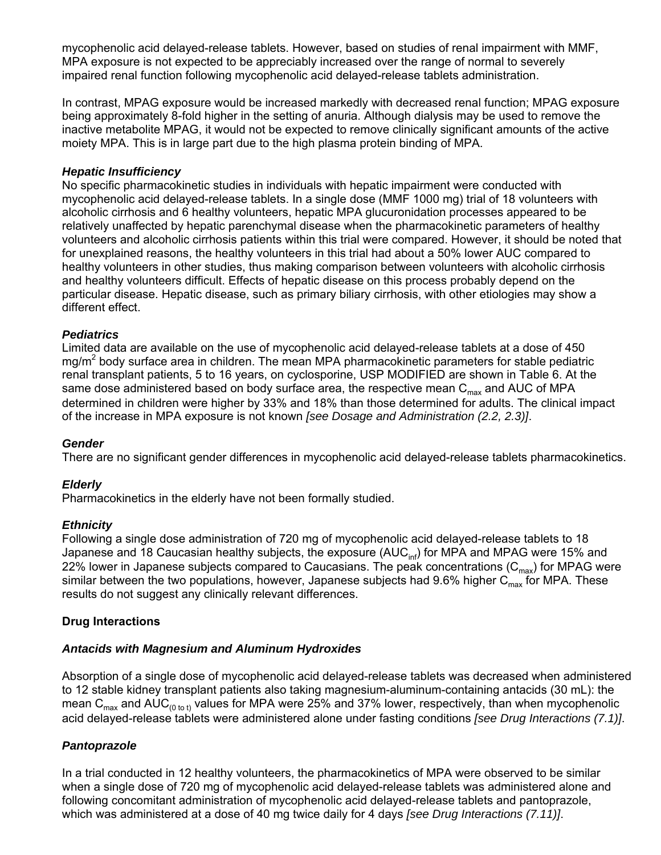mycophenolic acid delayed-release tablets. However, based on studies of renal impairment with MMF, MPA exposure is not expected to be appreciably increased over the range of normal to severely impaired renal function following mycophenolic acid delayed-release tablets administration.

In contrast, MPAG exposure would be increased markedly with decreased renal function; MPAG exposure being approximately 8-fold higher in the setting of anuria. Although dialysis may be used to remove the inactive metabolite MPAG, it would not be expected to remove clinically significant amounts of the active moiety MPA. This is in large part due to the high plasma protein binding of MPA.

#### *Hepatic Insufficiency*

No specific pharmacokinetic studies in individuals with hepatic impairment were conducted with mycophenolic acid delayed-release tablets. In a single dose (MMF 1000 mg) trial of 18 volunteers with alcoholic cirrhosis and 6 healthy volunteers, hepatic MPA glucuronidation processes appeared to be relatively unaffected by hepatic parenchymal disease when the pharmacokinetic parameters of healthy volunteers and alcoholic cirrhosis patients within this trial were compared. However, it should be noted that for unexplained reasons, the healthy volunteers in this trial had about a 50% lower AUC compared to healthy volunteers in other studies, thus making comparison between volunteers with alcoholic cirrhosis and healthy volunteers difficult. Effects of hepatic disease on this process probably depend on the particular disease. Hepatic disease, such as primary biliary cirrhosis, with other etiologies may show a different effect.

#### *Pediatrics*

Limited data are available on the use of mycophenolic acid delayed-release tablets at a dose of 450  $mg/m<sup>2</sup>$  body surface area in children. The mean MPA pharmacokinetic parameters for stable pediatric renal transplant patients, 5 to 16 years, on cyclosporine, USP MODIFIED are shown in Table 6. At the same dose administered based on body surface area, the respective mean  $C_{\text{max}}$  and AUC of MPA determined in children were higher by 33% and 18% than those determined for adults. The clinical impact of the increase in MPA exposure is not known *[see Dosage and Administration (2.2, 2.3)]*.

#### *Gender*

There are no significant gender differences in mycophenolic acid delayed-release tablets pharmacokinetics.

#### *Elderly*

Pharmacokinetics in the elderly have not been formally studied.

#### *Ethnicity*

Following a single dose administration of 720 mg of mycophenolic acid delayed-release tablets to 18 Japanese and 18 Caucasian healthy subjects, the exposure (AUC $_{\text{inf}}$ ) for MPA and MPAG were 15% and 22% lower in Japanese subjects compared to Caucasians. The peak concentrations  $(C_{\text{max}})$  for MPAG were similar between the two populations, however, Japanese subjects had 9.6% higher  $C_{\text{max}}$  for MPA. These results do not suggest any clinically relevant differences.

#### **Drug Interactions**

#### *Antacids with Magnesium and Aluminum Hydroxides*

Absorption of a single dose of mycophenolic acid delayed-release tablets was decreased when administered to 12 stable kidney transplant patients also taking magnesium-aluminum-containing antacids (30 mL): the mean C<sub>max</sub> and AUC<sub>(0 to t)</sub> values for MPA were 25% and 37% lower, respectively, than when mycophenolic acid delayed-release tablets were administered alone under fasting conditions *[see Drug Interactions (7.1)]*.

#### *Pantoprazole*

In a trial conducted in 12 healthy volunteers, the pharmacokinetics of MPA were observed to be similar when a single dose of 720 mg of mycophenolic acid delayed-release tablets was administered alone and following concomitant administration of mycophenolic acid delayed-release tablets and pantoprazole, which was administered at a dose of 40 mg twice daily for 4 days *[see Drug Interactions (7.11)]*.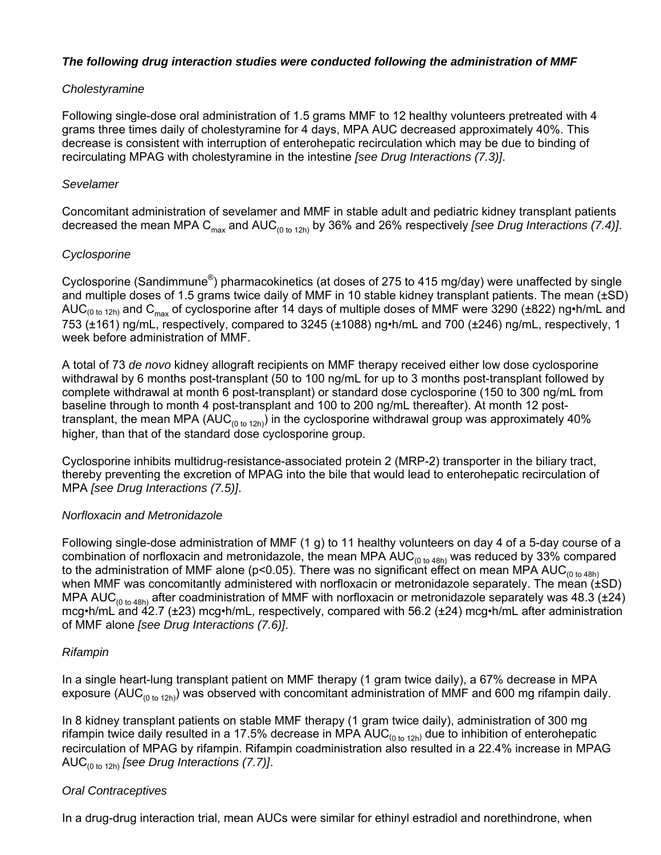#### *The following drug interaction studies were conducted following the administration of MMF*

#### *Cholestyramine*

Following single-dose oral administration of 1.5 grams MMF to 12 healthy volunteers pretreated with 4 grams three times daily of cholestyramine for 4 days, MPA AUC decreased approximately 40%. This decrease is consistent with interruption of enterohepatic recirculation which may be due to binding of recirculating MPAG with cholestyramine in the intestine *[see Drug Interactions (7.3)]*.

#### *Sevelamer*

Concomitant administration of sevelamer and MMF in stable adult and pediatric kidney transplant patients decreased the mean MPA C<sub>max</sub> and AUC<sub>(0 to 12h)</sub> by 36% and 26% respectively *[see Drug Interactions (7.4)]*.

## *Cyclosporine*

Cyclosporine (Sandimmune®) pharmacokinetics (at doses of 275 to 415 mg/day) were unaffected by single and multiple doses of 1.5 grams twice daily of MMF in 10 stable kidney transplant patients. The mean (±SD) AUC<sub>(0 to 12h)</sub> and C<sub>max</sub> of cyclosporine after 14 days of multiple doses of MMF were 3290 (±822) ng•h/mL and 753 (±161) ng/mL, respectively, compared to 3245 (±1088) ng•h/mL and 700 (±246) ng/mL, respectively, 1 week before administration of MMF.

A total of 73 *de novo* kidney allograft recipients on MMF therapy received either low dose cyclosporine withdrawal by 6 months post-transplant (50 to 100 ng/mL for up to 3 months post-transplant followed by complete withdrawal at month 6 post-transplant) or standard dose cyclosporine (150 to 300 ng/mL from baseline through to month 4 post-transplant and 100 to 200 ng/mL thereafter). At month 12 posttransplant, the mean MPA (AUC<sub>(0 to 12h)</sub>) in the cyclosporine withdrawal group was approximately 40% higher, than that of the standard dose cyclosporine group.

Cyclosporine inhibits multidrug-resistance-associated protein 2 (MRP-2) transporter in the biliary tract, thereby preventing the excretion of MPAG into the bile that would lead to enterohepatic recirculation of MPA *[see Drug Interactions (7.5)]*.

#### *Norfloxacin and Metronidazole*

Following single-dose administration of MMF (1 g) to 11 healthy volunteers on day 4 of a 5-day course of a combination of norfloxacin and metronidazole, the mean MPA  $AUC_{(0 \text{ to } 48h)}$  was reduced by 33% compared to the administration of MMF alone ( $p<0.05$ ). There was no significant effect on mean MPA AUC<sub>(0 to 48h)</sub> when MMF was concomitantly administered with norfloxacin or metronidazole separately. The mean (±SD) MPA AUC<sub>(0 to 48h)</sub> after coadministration of MMF with norfloxacin or metronidazole separately was 48.3 ( $\pm$ 24) mcg•h/mL and 42.7 (±23) mcg•h/mL, respectively, compared with 56.2 (±24) mcg•h/mL after administration of MMF alone *[see Drug Interactions (7.6)]*.

# *Rifampin*

In a single heart-lung transplant patient on MMF therapy (1 gram twice daily), a 67% decrease in MPA exposure (AUC<sub>(0 to 12h)</sub>) was observed with concomitant administration of MMF and 600 mg rifampin daily.

In 8 kidney transplant patients on stable MMF therapy (1 gram twice daily), administration of 300 mg rifampin twice daily resulted in a 17.5% decrease in MPA AUC $_{(0 \text{ to } 12h)}$  due to inhibition of enterohepatic recirculation of MPAG by rifampin. Rifampin coadministration also resulted in a 22.4% increase in MPAG AUC(0 to 12h) *[see Drug Interactions (7.7)]*.

# *Oral Contraceptives*

In a drug-drug interaction trial, mean AUCs were similar for ethinyl estradiol and norethindrone, when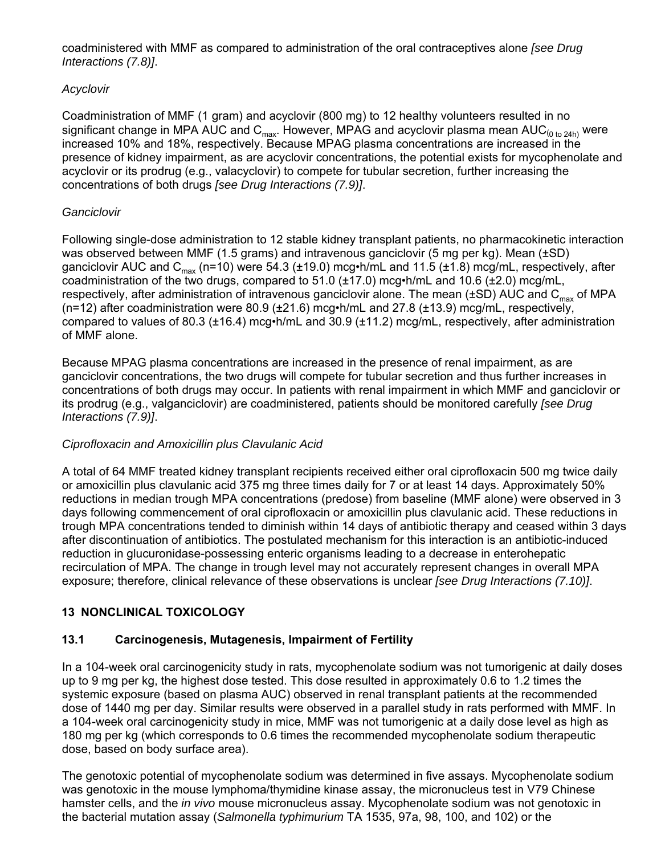<span id="page-18-0"></span>coadministered with MMF as compared to administration of the oral contraceptives alone *[see Drug Interactions (7.8)]*.

# *Acyclovir*

Coadministration of MMF (1 gram) and acyclovir (800 mg) to 12 healthy volunteers resulted in no significant change in MPA AUC and  $C_{\text{max}}$ . However, MPAG and acyclovir plasma mean AUC<sub>(0 to 24h)</sub> were increased 10% and 18%, respectively. Because MPAG plasma concentrations are increased in the presence of kidney impairment, as are acyclovir concentrations, the potential exists for mycophenolate and acyclovir or its prodrug (e.g., valacyclovir) to compete for tubular secretion, further increasing the concentrations of both drugs *[see Drug Interactions (7.9)]*.

#### *Ganciclovir*

Following single-dose administration to 12 stable kidney transplant patients, no pharmacokinetic interaction was observed between MMF (1.5 grams) and intravenous ganciclovir (5 mg per kg). Mean (±SD) ganciclovir AUC and C<sub>max</sub> (n=10) were 54.3 (±19.0) mcg•h/mL and 11.5 (±1.8) mcg/mL, respectively, after coadministration of the two drugs, compared to 51.0 ( $\pm$ 17.0) mcg•h/mL and 10.6 ( $\pm$ 2.0) mcg/mL, respectively, after administration of intravenous ganciclovir alone. The mean ( $\pm$ SD) AUC and C<sub>max</sub> of MPA (n=12) after coadministration were 80.9 (±21.6) mcg•h/mL and 27.8 (±13.9) mcg/mL, respectively, compared to values of 80.3 (±16.4) mcg•h/mL and 30.9 (±11.2) mcg/mL, respectively, after administration of MMF alone.

Because MPAG plasma concentrations are increased in the presence of renal impairment, as are ganciclovir concentrations, the two drugs will compete for tubular secretion and thus further increases in concentrations of both drugs may occur. In patients with renal impairment in which MMF and ganciclovir or its prodrug (e.g., valganciclovir) are coadministered, patients should be monitored carefully *[see Drug Interactions (7.9)]*.

#### *Ciprofloxacin and Amoxicillin plus Clavulanic Acid*

A total of 64 MMF treated kidney transplant recipients received either oral ciprofloxacin 500 mg twice daily or amoxicillin plus clavulanic acid 375 mg three times daily for 7 or at least 14 days. Approximately 50% reductions in median trough MPA concentrations (predose) from baseline (MMF alone) were observed in 3 days following commencement of oral ciprofloxacin or amoxicillin plus clavulanic acid. These reductions in trough MPA concentrations tended to diminish within 14 days of antibiotic therapy and ceased within 3 days after discontinuation of antibiotics. The postulated mechanism for this interaction is an antibiotic-induced reduction in glucuronidase-possessing enteric organisms leading to a decrease in enterohepatic recirculation of MPA. The change in trough level may not accurately represent changes in overall MPA exposure; therefore, clinical relevance of these observations is unclear *[see Drug Interactions (7.10)]*.

# **13 NONCLINICAL TOXICOLOGY**

# **13.1 Carcinogenesis, Mutagenesis, Impairment of Fertility**

In a 104-week oral carcinogenicity study in rats, mycophenolate sodium was not tumorigenic at daily doses up to 9 mg per kg, the highest dose tested. This dose resulted in approximately 0.6 to 1.2 times the systemic exposure (based on plasma AUC) observed in renal transplant patients at the recommended dose of 1440 mg per day. Similar results were observed in a parallel study in rats performed with MMF. In a 104-week oral carcinogenicity study in mice, MMF was not tumorigenic at a daily dose level as high as 180 mg per kg (which corresponds to 0.6 times the recommended mycophenolate sodium therapeutic dose, based on body surface area).

The genotoxic potential of mycophenolate sodium was determined in five assays. Mycophenolate sodium was genotoxic in the mouse lymphoma/thymidine kinase assay, the micronucleus test in V79 Chinese hamster cells, and the *in vivo* mouse micronucleus assay. Mycophenolate sodium was not genotoxic in the bacterial mutation assay (*Salmonella typhimurium* TA 1535, 97a, 98, 100, and 102) or the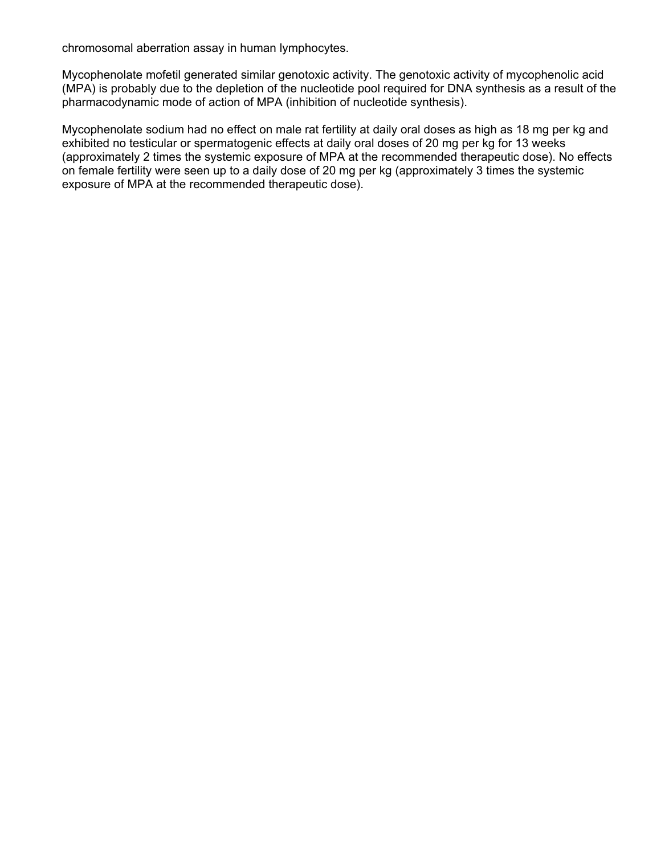chromosomal aberration assay in human lymphocytes.

Mycophenolate mofetil generated similar genotoxic activity. The genotoxic activity of mycophenolic acid (MPA) is probably due to the depletion of the nucleotide pool required for DNA synthesis as a result of the pharmacodynamic mode of action of MPA (inhibition of nucleotide synthesis).

Mycophenolate sodium had no effect on male rat fertility at daily oral doses as high as 18 mg per kg and exhibited no testicular or spermatogenic effects at daily oral doses of 20 mg per kg for 13 weeks (approximately 2 times the systemic exposure of MPA at the recommended therapeutic dose). No effects on female fertility were seen up to a daily dose of 20 mg per kg (approximately 3 times the systemic exposure of MPA at the recommended therapeutic dose).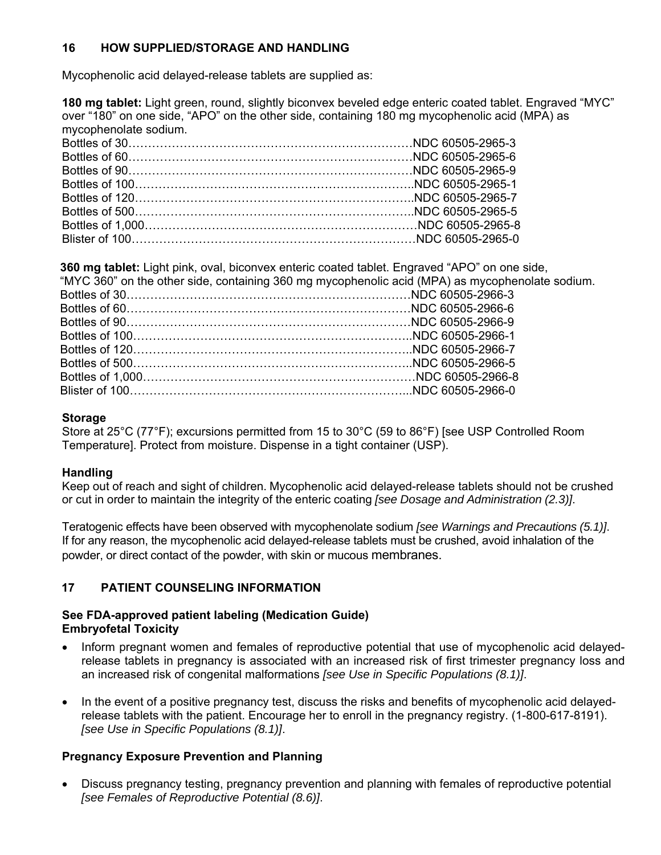# <span id="page-20-0"></span>**16 HOW SUPPLIED/STORAGE AND HANDLING**

Mycophenolic acid delayed-release tablets are supplied as:

**180 mg tablet:** Light green, round, slightly biconvex beveled edge enteric coated tablet. Engraved "MYC" over "180" on one side, "APO" on the other side, containing 180 mg mycophenolic acid (MPA) as mycophenolate sodium.

**360 mg tablet:** Light pink, oval, biconvex enteric coated tablet. Engraved "APO" on one side,

| "MYC 360" on the other side, containing 360 mg mycophenolic acid (MPA) as mycophenolate sodium. |
|-------------------------------------------------------------------------------------------------|
|                                                                                                 |
|                                                                                                 |
|                                                                                                 |
|                                                                                                 |
|                                                                                                 |
|                                                                                                 |
|                                                                                                 |
|                                                                                                 |
|                                                                                                 |

## **Storage**

Store at 25°C (77°F); excursions permitted from 15 to 30°C (59 to 86°F) [see USP Controlled Room Temperature]. Protect from moisture. Dispense in a tight container (USP).

# **Handling**

Keep out of reach and sight of children. Mycophenolic acid delayed-release tablets should not be crushed or cut in order to maintain the integrity of the enteric coating *[see Dosage and Administration (2.3)]*.

Teratogenic effects have been observed with mycophenolate sodium *[see Warnings and Precautions (5.1)]*. If for any reason, the mycophenolic acid delayed-release tablets must be crushed, avoid inhalation of the powder, or direct contact of the powder, with skin or mucous membranes.

# **17 PATIENT COUNSELING INFORMATION**

#### **See FDA-approved patient labeling (Medication Guide) Embryofetal Toxicity**

- Inform pregnant women and females of reproductive potential that use of mycophenolic acid delayedrelease tablets in pregnancy is associated with an increased risk of first trimester pregnancy loss and an increased risk of congenital malformations *[see Use in Specific Populations (8.1)]*.
- In the event of a positive pregnancy test, discuss the risks and benefits of mycophenolic acid delayedrelease tablets with the patient. Encourage her to enroll in the pregnancy registry. (1-800-617-8191). *[see Use in Specific Populations (8.1)]*.

# **Pregnancy Exposure Prevention and Planning**

• Discuss pregnancy testing, pregnancy prevention and planning with females of reproductive potential *[see Females of Reproductive Potential (8.6)]*.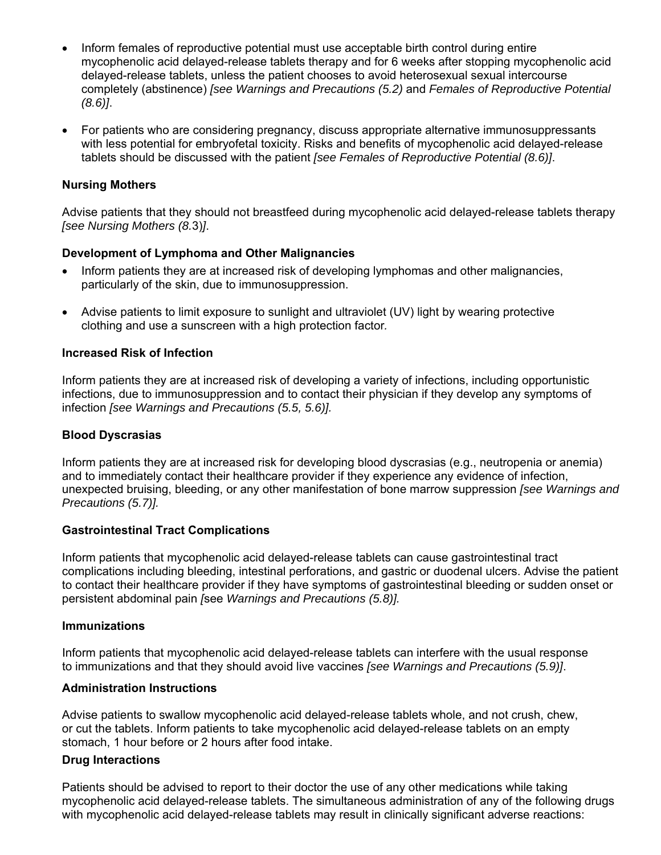- Inform females of reproductive potential must use acceptable birth control during entire mycophenolic acid delayed-release tablets therapy and for 6 weeks after stopping mycophenolic acid delayed-release tablets, unless the patient chooses to avoid heterosexual sexual intercourse completely (abstinence) *[see Warnings and Precautions (5.2)* and *Females of Reproductive Potential (8.6)]*.
- For patients who are considering pregnancy, discuss appropriate alternative immunosuppressants with less potential for embryofetal toxicity. Risks and benefits of mycophenolic acid delayed-release tablets should be discussed with the patient *[see Females of Reproductive Potential (8.6)]*.

#### **Nursing Mothers**

Advise patients that they should not breastfeed during mycophenolic acid delayed-release tablets therapy *[see Nursing Mothers (8.*3)*]*.

#### **Development of Lymphoma and Other Malignancies**

- Inform patients they are at increased risk of developing lymphomas and other malignancies, particularly of the skin, due to immunosuppression.
- Advise patients to limit exposure to sunlight and ultraviolet (UV) light by wearing protective clothing and use a sunscreen with a high protection factor*.*

#### **Increased Risk of Infection**

Inform patients they are at increased risk of developing a variety of infections, including opportunistic infections, due to immunosuppression and to contact their physician if they develop any symptoms of infection *[see Warnings and Precautions (5.5, 5.6)].*

#### **Blood Dyscrasias**

Inform patients they are at increased risk for developing blood dyscrasias (e.g., neutropenia or anemia) and to immediately contact their healthcare provider if they experience any evidence of infection, unexpected bruising, bleeding, or any other manifestation of bone marrow suppression *[see Warnings and Precautions (5.7)].*

#### **Gastrointestinal Tract Complications**

Inform patients that mycophenolic acid delayed-release tablets can cause gastrointestinal tract complications including bleeding, intestinal perforations, and gastric or duodenal ulcers. Advise the patient to contact their healthcare provider if they have symptoms of gastrointestinal bleeding or sudden onset or persistent abdominal pain *[*see *Warnings and Precautions (5.8)].* 

#### **Immunizations**

Inform patients that mycophenolic acid delayed-release tablets can interfere with the usual response to immunizations and that they should avoid live vaccines *[see Warnings and Precautions (5.9)]*.

#### **Administration Instructions**

Advise patients to swallow mycophenolic acid delayed-release tablets whole, and not crush, chew, or cut the tablets. Inform patients to take mycophenolic acid delayed-release tablets on an empty stomach, 1 hour before or 2 hours after food intake.

#### **Drug Interactions**

Patients should be advised to report to their doctor the use of any other medications while taking mycophenolic acid delayed-release tablets. The simultaneous administration of any of the following drugs with mycophenolic acid delayed-release tablets may result in clinically significant adverse reactions: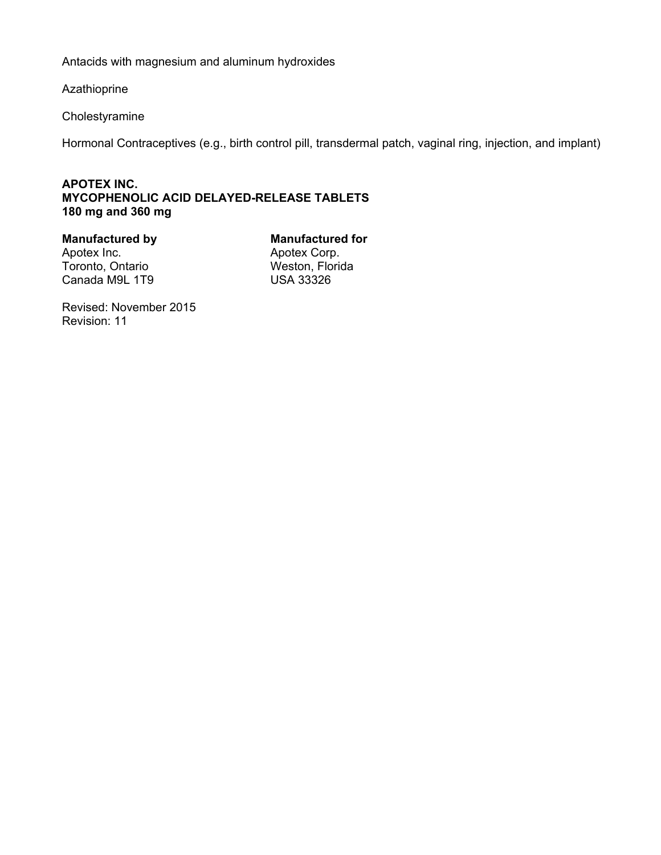Antacids with magnesium and aluminum hydroxides

Azathioprine

Cholestyramine

Hormonal Contraceptives (e.g., birth control pill, transdermal patch, vaginal ring, injection, and implant)

## **APOTEX INC. MYCOPHENOLIC ACID DELAYED-RELEASE TABLETS 180 mg and 360 mg**

Toronto, Ontario **Weston, Florida** Canada M9L 1T9 USA 33326

**Manufactured by Manufactured for Apotex Inc.<br>Apotex Inc. Apotex Corp.** Apotex Corp.

Revised: November 2015 Revision: 11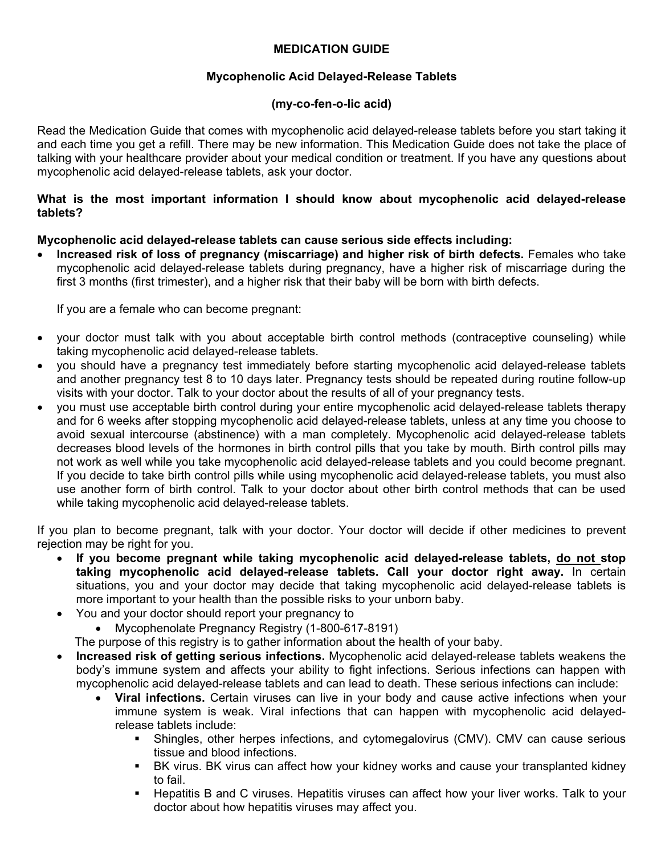# **MEDICATION GUIDE**

## **Mycophenolic Acid Delayed-Release Tablets**

## **(my-co-fen-o-lic acid)**

Read the Medication Guide that comes with mycophenolic acid delayed-release tablets before you start taking it and each time you get a refill. There may be new information. This Medication Guide does not take the place of talking with your healthcare provider about your medical condition or treatment. If you have any questions about mycophenolic acid delayed-release tablets, ask your doctor.

#### **What is the most important information I should know about mycophenolic acid delayed-release tablets?**

#### **Mycophenolic acid delayed-release tablets can cause serious side effects including:**

• **Increased risk of loss of pregnancy (miscarriage) and higher risk of birth defects. Females who take** mycophenolic acid delayed-release tablets during pregnancy, have a higher risk of miscarriage during the first 3 months (first trimester), and a higher risk that their baby will be born with birth defects.

If you are a female who can become pregnant:

- your doctor must talk with you about acceptable birth control methods (contraceptive counseling) while taking mycophenolic acid delayed-release tablets.
- you should have a pregnancy test immediately before starting mycophenolic acid delayed-release tablets and another pregnancy test 8 to 10 days later. Pregnancy tests should be repeated during routine follow-up visits with your doctor. Talk to your doctor about the results of all of your pregnancy tests.
- you must use acceptable birth control during your entire mycophenolic acid delayed-release tablets therapy and for 6 weeks after stopping mycophenolic acid delayed-release tablets, unless at any time you choose to avoid sexual intercourse (abstinence) with a man completely. Mycophenolic acid delayed-release tablets decreases blood levels of the hormones in birth control pills that you take by mouth. Birth control pills may not work as well while you take mycophenolic acid delayed-release tablets and you could become pregnant. If you decide to take birth control pills while using mycophenolic acid delayed-release tablets, you must also use another form of birth control. Talk to your doctor about other birth control methods that can be used while taking mycophenolic acid delayed-release tablets.

If you plan to become pregnant, talk with your doctor. Your doctor will decide if other medicines to prevent rejection may be right for you.

- **If you become pregnant while taking mycophenolic acid delayed-release tablets, do not stop taking mycophenolic acid delayed-release tablets. Call your doctor right away.** In certain situations, you and your doctor may decide that taking mycophenolic acid delayed-release tablets is more important to your health than the possible risks to your unborn baby.
- You and your doctor should report your pregnancy to
	- Mycophenolate Pregnancy Registry (1-800-617-8191)

The purpose of this registry is to gather information about the health of your baby.

- **Increased risk of getting serious infections.** Mycophenolic acid delayed-release tablets weakens the body's immune system and affects your ability to fight infections. Serious infections can happen with mycophenolic acid delayed-release tablets and can lead to death. These serious infections can include:
	- **Viral infections.** Certain viruses can live in your body and cause active infections when your immune system is weak. Viral infections that can happen with mycophenolic acid delayedrelease tablets include:
		- Shingles, other herpes infections, and cytomegalovirus (CMV). CMV can cause serious tissue and blood infections.
		- BK virus. BK virus can affect how your kidney works and cause your transplanted kidney to fail.
		- Hepatitis B and C viruses. Hepatitis viruses can affect how your liver works. Talk to your doctor about how hepatitis viruses may affect you.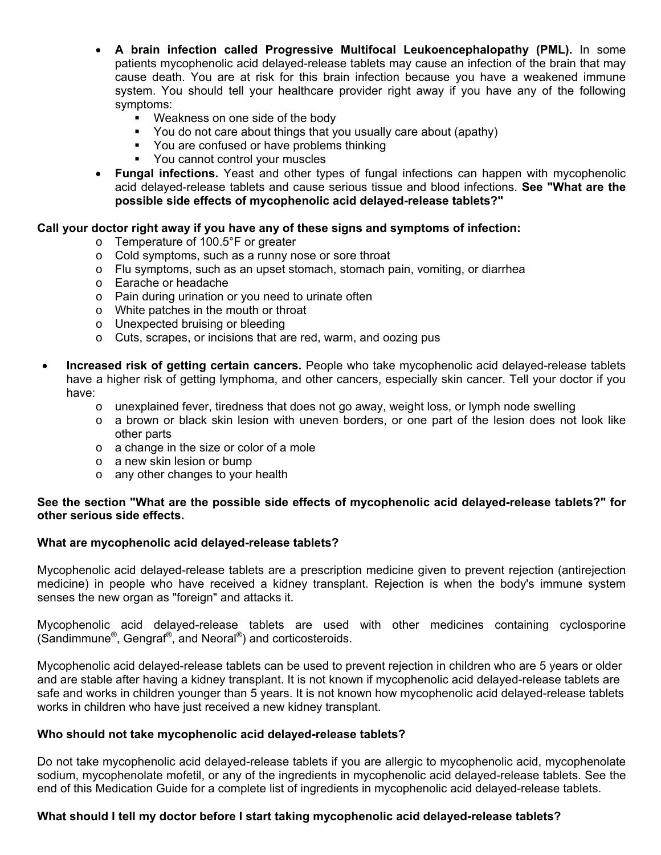- **A brain infection called Progressive Multifocal Leukoencephalopathy (PML).** In some patients mycophenolic acid delayed-release tablets may cause an infection of the brain that may cause death. You are at risk for this brain infection because you have a weakened immune system. You should tell your healthcare provider right away if you have any of the following symptoms:
	- **Weakness on one side of the body**
	- You do not care about things that you usually care about (apathy)
	- You are confused or have problems thinking
	- You cannot control your muscles
- **Fungal infections.** Yeast and other types of fungal infections can happen with mycophenolic acid delayed-release tablets and cause serious tissue and blood infections. **See "What are the possible side effects of mycophenolic acid delayed-release tablets?"**

#### **Call your doctor right away if you have any of these signs and symptoms of infection:**

- o Temperature of 100.5°F or greater
- o Cold symptoms, such as a runny nose or sore throat
- o Flu symptoms, such as an upset stomach, stomach pain, vomiting, or diarrhea
- o Earache or headache
- o Pain during urination or you need to urinate often
- o White patches in the mouth or throat
- o Unexpected bruising or bleeding
- o Cuts, scrapes, or incisions that are red, warm, and oozing pus
- **Increased risk of getting certain cancers.** People who take mycophenolic acid delayed-release tablets have a higher risk of getting lymphoma, and other cancers, especially skin cancer. Tell your doctor if you have:
	- $\circ$  unexplained fever, tiredness that does not go away, weight loss, or lymph node swelling
	- $\circ$  a brown or black skin lesion with uneven borders, or one part of the lesion does not look like other parts
	- o a change in the size or color of a mole
	- o a new skin lesion or bump
	- o any other changes to your health

#### **See the section "What are the possible side effects of mycophenolic acid delayed-release tablets?" for other serious side effects.**

#### **What are mycophenolic acid delayed-release tablets?**

Mycophenolic acid delayed-release tablets are a prescription medicine given to prevent rejection (antirejection medicine) in people who have received a kidney transplant. Rejection is when the body's immune system senses the new organ as "foreign" and attacks it.

Mycophenolic acid delayed-release tablets are used with other medicines containing cyclosporine (Sandimmune®, Gengraf®, and Neoral®) and corticosteroids.

Mycophenolic acid delayed-release tablets can be used to prevent rejection in children who are 5 years or older and are stable after having a kidney transplant. It is not known if mycophenolic acid delayed-release tablets are safe and works in children younger than 5 years. It is not known how mycophenolic acid delayed-release tablets works in children who have just received a new kidney transplant.

#### **Who should not take mycophenolic acid delayed-release tablets?**

Do not take mycophenolic acid delayed-release tablets if you are allergic to mycophenolic acid, mycophenolate sodium, mycophenolate mofetil, or any of the ingredients in mycophenolic acid delayed-release tablets. See the end of this Medication Guide for a complete list of ingredients in mycophenolic acid delayed-release tablets.

#### **What should I tell my doctor before I start taking mycophenolic acid delayed-release tablets?**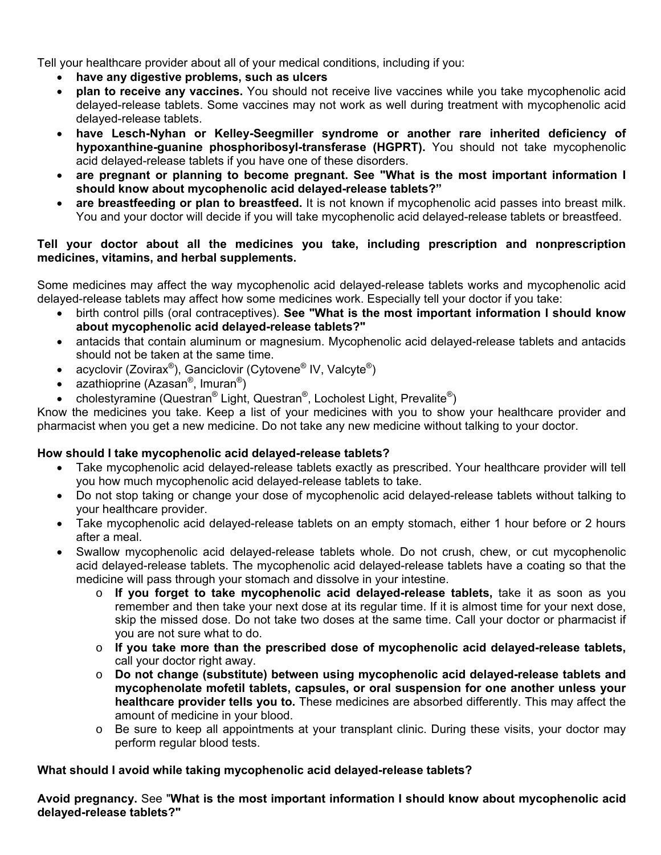Tell your healthcare provider about all of your medical conditions, including if you:

- **have any digestive problems, such as ulcers**
- **plan to receive any vaccines.** You should not receive live vaccines while you take mycophenolic acid delayed-release tablets. Some vaccines may not work as well during treatment with mycophenolic acid delayed-release tablets.
- **have Lesch-Nyhan or Kelley-Seegmiller syndrome or another rare inherited deficiency of hypoxanthine-guanine phosphoribosyl-transferase (HGPRT).** You should not take mycophenolic acid delayed-release tablets if you have one of these disorders.
- **are pregnant or planning to become pregnant. See "What is the most important information I should know about mycophenolic acid delayed-release tablets?"**
- **are breastfeeding or plan to breastfeed.** It is not known if mycophenolic acid passes into breast milk. You and your doctor will decide if you will take mycophenolic acid delayed-release tablets or breastfeed.

#### **Tell your doctor about all the medicines you take, including prescription and nonprescription medicines, vitamins, and herbal supplements.**

Some medicines may affect the way mycophenolic acid delayed-release tablets works and mycophenolic acid delayed-release tablets may affect how some medicines work. Especially tell your doctor if you take:

- birth control pills (oral contraceptives). **See "What is the most important information I should know about mycophenolic acid delayed-release tablets?"**
- antacids that contain aluminum or magnesium. Mycophenolic acid delayed-release tablets and antacids should not be taken at the same time.
- acyclovir (Zovirax<sup>®</sup>), Ganciclovir (Cytovene<sup>®</sup> IV, Valcyte<sup>®</sup>)
- azathioprine (Azasan®, Imuran®)
- cholestyramine (Questran® Light, Questran®, Locholest Light, Prevalite®)

Know the medicines you take. Keep a list of your medicines with you to show your healthcare provider and pharmacist when you get a new medicine. Do not take any new medicine without talking to your doctor.

# **How should I take mycophenolic acid delayed-release tablets?**

- Take mycophenolic acid delayed-release tablets exactly as prescribed. Your healthcare provider will tell you how much mycophenolic acid delayed-release tablets to take.
- Do not stop taking or change your dose of mycophenolic acid delayed-release tablets without talking to your healthcare provider.
- Take mycophenolic acid delayed-release tablets on an empty stomach, either 1 hour before or 2 hours after a meal.
- Swallow mycophenolic acid delayed-release tablets whole. Do not crush, chew, or cut mycophenolic acid delayed-release tablets. The mycophenolic acid delayed-release tablets have a coating so that the medicine will pass through your stomach and dissolve in your intestine.
	- o **If you forget to take mycophenolic acid delayed-release tablets,** take it as soon as you remember and then take your next dose at its regular time. If it is almost time for your next dose, skip the missed dose. Do not take two doses at the same time. Call your doctor or pharmacist if you are not sure what to do.
	- o **If you take more than the prescribed dose of mycophenolic acid delayed-release tablets,**  call your doctor right away.
	- o **Do not change (substitute) between using mycophenolic acid delayed-release tablets and mycophenolate mofetil tablets, capsules, or oral suspension for one another unless your healthcare provider tells you to.** These medicines are absorbed differently. This may affect the amount of medicine in your blood.
	- $\circ$  Be sure to keep all appointments at your transplant clinic. During these visits, your doctor may perform regular blood tests.

#### **What should I avoid while taking mycophenolic acid delayed-release tablets?**

**Avoid pregnancy.** See "**What is the most important information I should know about mycophenolic acid delayed-release tablets?"**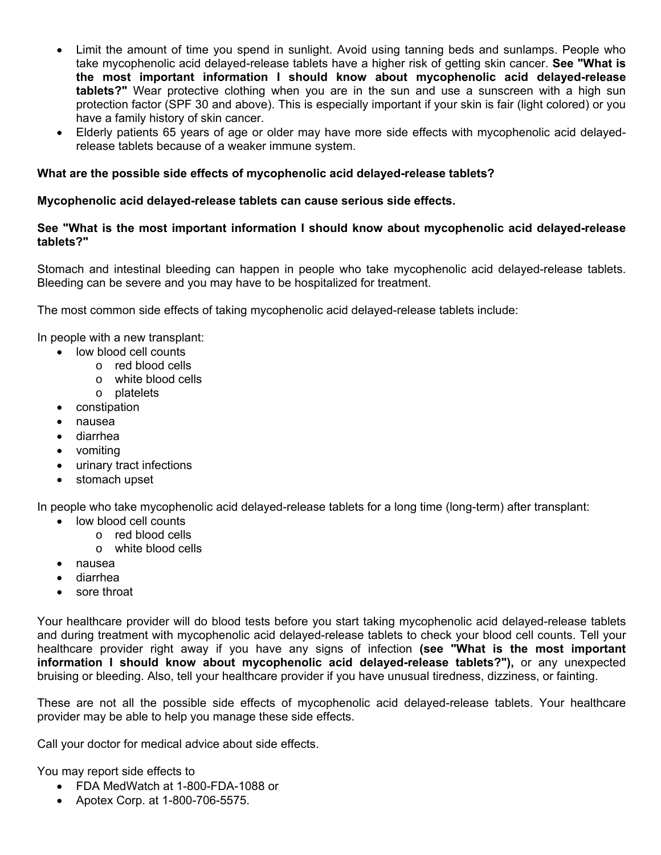- Limit the amount of time you spend in sunlight. Avoid using tanning beds and sunlamps. People who take mycophenolic acid delayed-release tablets have a higher risk of getting skin cancer. **See "What is the most important information I should know about mycophenolic acid delayed-release tablets?"** Wear protective clothing when you are in the sun and use a sunscreen with a high sun protection factor (SPF 30 and above). This is especially important if your skin is fair (light colored) or you have a family history of skin cancer.
- Elderly patients 65 years of age or older may have more side effects with mycophenolic acid delayedrelease tablets because of a weaker immune system.

#### **What are the possible side effects of mycophenolic acid delayed-release tablets?**

#### **Mycophenolic acid delayed-release tablets can cause serious side effects.**

#### **See "What is the most important information I should know about mycophenolic acid delayed-release tablets?"**

Stomach and intestinal bleeding can happen in people who take mycophenolic acid delayed-release tablets. Bleeding can be severe and you may have to be hospitalized for treatment.

The most common side effects of taking mycophenolic acid delayed-release tablets include:

In people with a new transplant:

- low blood cell counts
	- o red blood cells
	- o white blood cells
	- o platelets
- constipation
- nausea
- diarrhea
- vomiting
- urinary tract infections
- stomach upset

In people who take mycophenolic acid delayed-release tablets for a long time (long-term) after transplant:

- low blood cell counts
	- o red blood cells
	- o white blood cells
- nausea
- diarrhea
- sore throat

Your healthcare provider will do blood tests before you start taking mycophenolic acid delayed-release tablets and during treatment with mycophenolic acid delayed-release tablets to check your blood cell counts. Tell your healthcare provider right away if you have any signs of infection **(see "What is the most important information I should know about mycophenolic acid delayed-release tablets?"),** or any unexpected bruising or bleeding. Also, tell your healthcare provider if you have unusual tiredness, dizziness, or fainting.

These are not all the possible side effects of mycophenolic acid delayed-release tablets. Your healthcare provider may be able to help you manage these side effects.

Call your doctor for medical advice about side effects.

You may report side effects to

- FDA MedWatch at 1-800-FDA-1088 or
- Apotex Corp. at 1-800-706-5575.